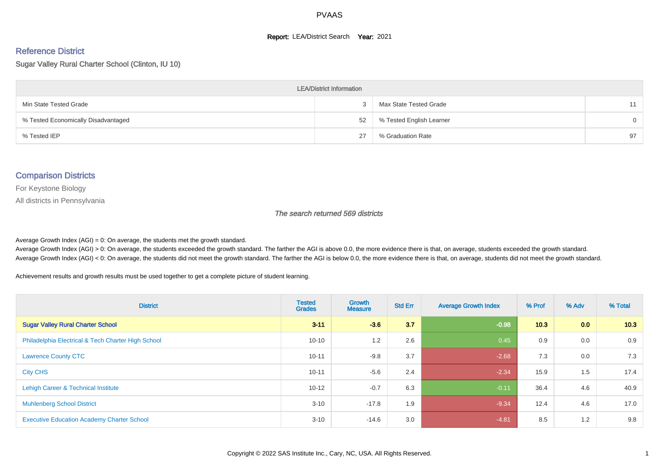#### **Report: LEA/District Search Year: 2021**

# Reference District

Sugar Valley Rural Charter School (Clinton, IU 10)

| <b>LEA/District Information</b>     |    |                          |          |  |  |  |  |  |  |  |
|-------------------------------------|----|--------------------------|----------|--|--|--|--|--|--|--|
| Min State Tested Grade              |    | Max State Tested Grade   | 11       |  |  |  |  |  |  |  |
| % Tested Economically Disadvantaged | 52 | % Tested English Learner | $\Omega$ |  |  |  |  |  |  |  |
| % Tested IEP                        | 27 | % Graduation Rate        | 97       |  |  |  |  |  |  |  |

#### Comparison Districts

For Keystone Biology

All districts in Pennsylvania

The search returned 569 districts

Average Growth Index  $(AGI) = 0$ : On average, the students met the growth standard.

Average Growth Index (AGI) > 0: On average, the students exceeded the growth standard. The farther the AGI is above 0.0, the more evidence there is that, on average, students exceeded the growth standard. Average Growth Index (AGI) < 0: On average, the students did not meet the growth standard. The farther the AGI is below 0.0, the more evidence there is that, on average, students did not meet the growth standard.

Achievement results and growth results must be used together to get a complete picture of student learning.

| <b>District</b>                                    | <b>Tested</b><br><b>Grades</b> | Growth<br><b>Measure</b> | <b>Std Err</b> | <b>Average Growth Index</b> | % Prof | % Adv            | % Total |
|----------------------------------------------------|--------------------------------|--------------------------|----------------|-----------------------------|--------|------------------|---------|
| <b>Sugar Valley Rural Charter School</b>           | $3 - 11$                       | $-3.6$                   | 3.7            | $-0.98$                     | 10.3   | 0.0 <sub>1</sub> | 10.3    |
| Philadelphia Electrical & Tech Charter High School | $10 - 10$                      | 1.2                      | 2.6            | 0.45                        | 0.9    | 0.0              | 0.9     |
| <b>Lawrence County CTC</b>                         | $10 - 11$                      | $-9.8$                   | 3.7            | $-2.68$                     | 7.3    | 0.0              | 7.3     |
| <b>City CHS</b>                                    | $10 - 11$                      | $-5.6$                   | 2.4            | $-2.34$                     | 15.9   | 1.5              | 17.4    |
| Lehigh Career & Technical Institute                | $10 - 12$                      | $-0.7$                   | 6.3            | $-0.11$                     | 36.4   | 4.6              | 40.9    |
| <b>Muhlenberg School District</b>                  | $3 - 10$                       | $-17.8$                  | 1.9            | $-9.34$                     | 12.4   | 4.6              | 17.0    |
| <b>Executive Education Academy Charter School</b>  | $3 - 10$                       | $-14.6$                  | 3.0            | $-4.81$                     | 8.5    | 1.2              | 9.8     |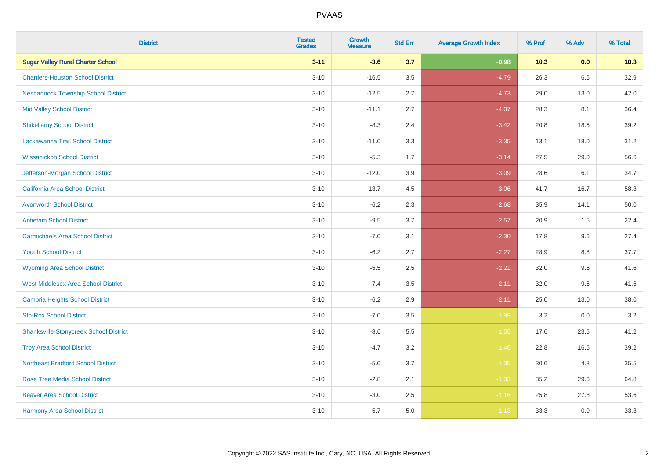| <b>District</b>                               | <b>Tested</b><br><b>Grades</b> | <b>Growth</b><br><b>Measure</b> | <b>Std Err</b> | <b>Average Growth Index</b> | % Prof | % Adv   | % Total |
|-----------------------------------------------|--------------------------------|---------------------------------|----------------|-----------------------------|--------|---------|---------|
| <b>Sugar Valley Rural Charter School</b>      | $3 - 11$                       | $-3.6$                          | 3.7            | $-0.98$                     | 10.3   | 0.0     | 10.3    |
| <b>Chartiers-Houston School District</b>      | $3 - 10$                       | $-16.5$                         | 3.5            | $-4.79$                     | 26.3   | $6.6\,$ | 32.9    |
| <b>Neshannock Township School District</b>    | $3 - 10$                       | $-12.5$                         | 2.7            | $-4.73$                     | 29.0   | 13.0    | 42.0    |
| <b>Mid Valley School District</b>             | $3 - 10$                       | $-11.1$                         | 2.7            | $-4.07$                     | 28.3   | 8.1     | 36.4    |
| <b>Shikellamy School District</b>             | $3 - 10$                       | $-8.3$                          | 2.4            | $-3.42$                     | 20.8   | 18.5    | 39.2    |
| Lackawanna Trail School District              | $3 - 10$                       | $-11.0$                         | 3.3            | $-3.35$                     | 13.1   | 18.0    | 31.2    |
| <b>Wissahickon School District</b>            | $3 - 10$                       | $-5.3$                          | 1.7            | $-3.14$                     | 27.5   | 29.0    | 56.6    |
| Jefferson-Morgan School District              | $3 - 10$                       | $-12.0$                         | 3.9            | $-3.09$                     | 28.6   | 6.1     | 34.7    |
| California Area School District               | $3 - 10$                       | $-13.7$                         | 4.5            | $-3.06$                     | 41.7   | 16.7    | 58.3    |
| <b>Avonworth School District</b>              | $3 - 10$                       | $-6.2$                          | 2.3            | $-2.68$                     | 35.9   | 14.1    | 50.0    |
| <b>Antietam School District</b>               | $3 - 10$                       | $-9.5$                          | 3.7            | $-2.57$                     | 20.9   | 1.5     | 22.4    |
| <b>Carmichaels Area School District</b>       | $3 - 10$                       | $-7.0$                          | 3.1            | $-2.30$                     | 17.8   | 9.6     | 27.4    |
| <b>Yough School District</b>                  | $3 - 10$                       | $-6.2$                          | 2.7            | $-2.27$                     | 28.9   | $8.8\,$ | 37.7    |
| <b>Wyoming Area School District</b>           | $3 - 10$                       | $-5.5$                          | 2.5            | $-2.21$                     | 32.0   | 9.6     | 41.6    |
| <b>West Middlesex Area School District</b>    | $3 - 10$                       | $-7.4$                          | 3.5            | $-2.11$                     | 32.0   | 9.6     | 41.6    |
| <b>Cambria Heights School District</b>        | $3 - 10$                       | $-6.2$                          | 2.9            | $-2.11$                     | 25.0   | 13.0    | 38.0    |
| <b>Sto-Rox School District</b>                | $3 - 10$                       | $-7.0$                          | 3.5            | $-1.99$                     | 3.2    | 0.0     | 3.2     |
| <b>Shanksville-Stonycreek School District</b> | $3 - 10$                       | $-8.6$                          | 5.5            | $-1.55$                     | 17.6   | 23.5    | 41.2    |
| <b>Troy Area School District</b>              | $3 - 10$                       | $-4.7$                          | 3.2            | $-1.46$                     | 22.8   | 16.5    | 39.2    |
| <b>Northeast Bradford School District</b>     | $3 - 10$                       | $-5.0$                          | 3.7            | $-1.35$                     | 30.6   | 4.8     | 35.5    |
| <b>Rose Tree Media School District</b>        | $3 - 10$                       | $-2.8$                          | 2.1            | $-1.33$                     | 35.2   | 29.6    | 64.8    |
| <b>Beaver Area School District</b>            | $3 - 10$                       | $-3.0$                          | 2.5            | $-1.16$                     | 25.8   | 27.8    | 53.6    |
| <b>Harmony Area School District</b>           | $3 - 10$                       | $-5.7$                          | 5.0            | $-1.13$                     | 33.3   | 0.0     | 33.3    |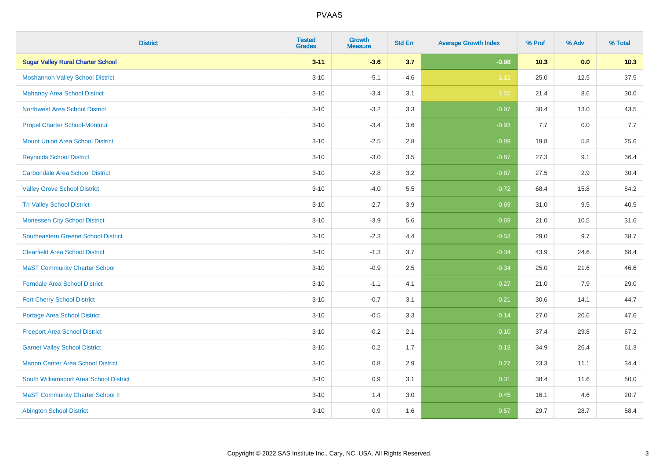| <b>District</b>                            | <b>Tested</b><br><b>Grades</b> | <b>Growth</b><br><b>Measure</b> | <b>Std Err</b> | <b>Average Growth Index</b> | % Prof | % Adv | % Total  |
|--------------------------------------------|--------------------------------|---------------------------------|----------------|-----------------------------|--------|-------|----------|
| <b>Sugar Valley Rural Charter School</b>   | $3 - 11$                       | $-3.6$                          | 3.7            | $-0.98$                     | 10.3   | 0.0   | 10.3     |
| <b>Moshannon Valley School District</b>    | $3 - 10$                       | $-5.1$                          | 4.6            | $-1.12$                     | 25.0   | 12.5  | 37.5     |
| <b>Mahanoy Area School District</b>        | $3 - 10$                       | $-3.4$                          | 3.1            | $-1.07$                     | 21.4   | 8.6   | $30.0\,$ |
| Northwest Area School District             | $3 - 10$                       | $-3.2$                          | 3.3            | $-0.97$                     | 30.4   | 13.0  | 43.5     |
| <b>Propel Charter School-Montour</b>       | $3 - 10$                       | $-3.4$                          | 3.6            | $-0.93$                     | 7.7    | 0.0   | 7.7      |
| <b>Mount Union Area School District</b>    | $3 - 10$                       | $-2.5$                          | 2.8            | $-0.89$                     | 19.8   | 5.8   | 25.6     |
| <b>Reynolds School District</b>            | $3 - 10$                       | $-3.0$                          | 3.5            | $-0.87$                     | 27.3   | 9.1   | 36.4     |
| <b>Carbondale Area School District</b>     | $3 - 10$                       | $-2.8$                          | 3.2            | $-0.87$                     | 27.5   | 2.9   | 30.4     |
| <b>Valley Grove School District</b>        | $3 - 10$                       | $-4.0$                          | 5.5            | $-0.72$                     | 68.4   | 15.8  | 84.2     |
| <b>Tri-Valley School District</b>          | $3 - 10$                       | $-2.7$                          | 3.9            | $-0.69$                     | 31.0   | 9.5   | 40.5     |
| <b>Monessen City School District</b>       | $3 - 10$                       | $-3.9$                          | 5.6            | $-0.69$                     | 21.0   | 10.5  | 31.6     |
| <b>Southeastern Greene School District</b> | $3 - 10$                       | $-2.3$                          | 4.4            | $-0.53$                     | 29.0   | 9.7   | 38.7     |
| <b>Clearfield Area School District</b>     | $3 - 10$                       | $-1.3$                          | 3.7            | $-0.34$                     | 43.9   | 24.6  | 68.4     |
| <b>MaST Community Charter School</b>       | $3 - 10$                       | $-0.9$                          | 2.5            | $-0.34$                     | 25.0   | 21.6  | 46.6     |
| <b>Ferndale Area School District</b>       | $3 - 10$                       | $-1.1$                          | 4.1            | $-0.27$                     | 21.0   | 7.9   | 29.0     |
| <b>Fort Cherry School District</b>         | $3 - 10$                       | $-0.7$                          | 3.1            | $-0.21$                     | 30.6   | 14.1  | 44.7     |
| Portage Area School District               | $3 - 10$                       | $-0.5$                          | 3.3            | $-0.14$                     | 27.0   | 20.6  | 47.6     |
| <b>Freeport Area School District</b>       | $3 - 10$                       | $-0.2$                          | 2.1            | $-0.10$                     | 37.4   | 29.8  | 67.2     |
| <b>Garnet Valley School District</b>       | $3 - 10$                       | 0.2                             | 1.7            | 0.13                        | 34.9   | 26.4  | 61.3     |
| <b>Marion Center Area School District</b>  | $3 - 10$                       | 0.8                             | 2.9            | 0.27                        | 23.3   | 11.1  | 34.4     |
| South Williamsport Area School District    | $3 - 10$                       | 0.9                             | 3.1            | 0.31                        | 38.4   | 11.6  | 50.0     |
| <b>MaST Community Charter School II</b>    | $3 - 10$                       | 1.4                             | 3.0            | 0.45                        | 16.1   | 4.6   | 20.7     |
| <b>Abington School District</b>            | $3 - 10$                       | 0.9                             | 1.6            | 0.57                        | 29.7   | 28.7  | 58.4     |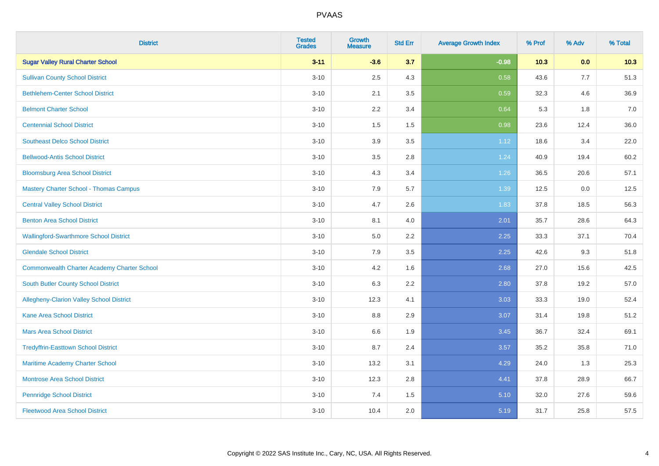| <b>District</b>                                    | <b>Tested</b><br><b>Grades</b> | <b>Growth</b><br><b>Measure</b> | <b>Std Err</b> | <b>Average Growth Index</b> | % Prof | % Adv | % Total |
|----------------------------------------------------|--------------------------------|---------------------------------|----------------|-----------------------------|--------|-------|---------|
| <b>Sugar Valley Rural Charter School</b>           | $3 - 11$                       | $-3.6$                          | 3.7            | $-0.98$                     | 10.3   | 0.0   | 10.3    |
| <b>Sullivan County School District</b>             | $3 - 10$                       | 2.5                             | 4.3            | 0.58                        | 43.6   | 7.7   | 51.3    |
| <b>Bethlehem-Center School District</b>            | $3 - 10$                       | 2.1                             | 3.5            | 0.59                        | 32.3   | 4.6   | 36.9    |
| <b>Belmont Charter School</b>                      | $3 - 10$                       | 2.2                             | 3.4            | 0.64                        | 5.3    | 1.8   | 7.0     |
| <b>Centennial School District</b>                  | $3 - 10$                       | 1.5                             | 1.5            | 0.98                        | 23.6   | 12.4  | 36.0    |
| <b>Southeast Delco School District</b>             | $3 - 10$                       | 3.9                             | 3.5            | 1.12                        | 18.6   | 3.4   | 22.0    |
| <b>Bellwood-Antis School District</b>              | $3 - 10$                       | 3.5                             | 2.8            | 1.24                        | 40.9   | 19.4  | 60.2    |
| <b>Bloomsburg Area School District</b>             | $3 - 10$                       | 4.3                             | 3.4            | 1.26                        | 36.5   | 20.6  | 57.1    |
| <b>Mastery Charter School - Thomas Campus</b>      | $3 - 10$                       | 7.9                             | 5.7            | 1.39                        | 12.5   | 0.0   | 12.5    |
| <b>Central Valley School District</b>              | $3 - 10$                       | 4.7                             | 2.6            | 1.83                        | 37.8   | 18.5  | 56.3    |
| <b>Benton Area School District</b>                 | $3 - 10$                       | 8.1                             | 4.0            | 2.01                        | 35.7   | 28.6  | 64.3    |
| <b>Wallingford-Swarthmore School District</b>      | $3 - 10$                       | 5.0                             | 2.2            | 2.25                        | 33.3   | 37.1  | 70.4    |
| <b>Glendale School District</b>                    | $3 - 10$                       | 7.9                             | 3.5            | 2.25                        | 42.6   | 9.3   | 51.8    |
| <b>Commonwealth Charter Academy Charter School</b> | $3 - 10$                       | 4.2                             | 1.6            | 2.68                        | 27.0   | 15.6  | 42.5    |
| South Butler County School District                | $3 - 10$                       | 6.3                             | 2.2            | 2.80                        | 37.8   | 19.2  | 57.0    |
| Allegheny-Clarion Valley School District           | $3 - 10$                       | 12.3                            | 4.1            | 3.03                        | 33.3   | 19.0  | 52.4    |
| <b>Kane Area School District</b>                   | $3 - 10$                       | 8.8                             | 2.9            | 3.07                        | 31.4   | 19.8  | 51.2    |
| <b>Mars Area School District</b>                   | $3 - 10$                       | 6.6                             | 1.9            | 3.45                        | 36.7   | 32.4  | 69.1    |
| <b>Tredyffrin-Easttown School District</b>         | $3 - 10$                       | 8.7                             | 2.4            | 3.57                        | 35.2   | 35.8  | 71.0    |
| Maritime Academy Charter School                    | $3 - 10$                       | 13.2                            | 3.1            | 4.29                        | 24.0   | 1.3   | 25.3    |
| Montrose Area School District                      | $3 - 10$                       | 12.3                            | 2.8            | 4.41                        | 37.8   | 28.9  | 66.7    |
| <b>Pennridge School District</b>                   | $3 - 10$                       | 7.4                             | 1.5            | 5.10                        | 32.0   | 27.6  | 59.6    |
| <b>Fleetwood Area School District</b>              | $3 - 10$                       | 10.4                            | 2.0            | 5.19                        | 31.7   | 25.8  | 57.5    |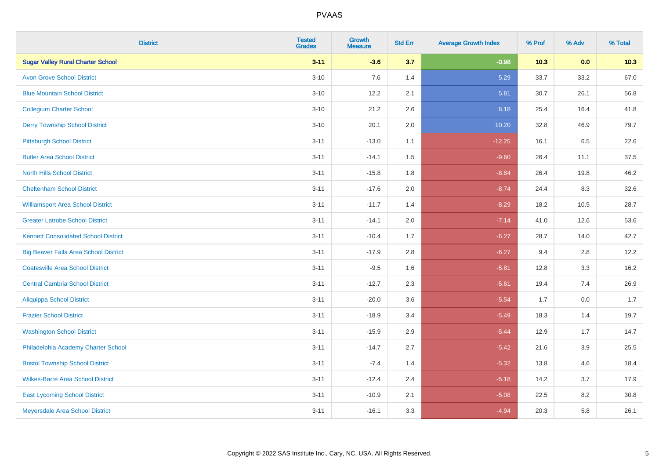| <b>District</b>                              | <b>Tested</b><br><b>Grades</b> | Growth<br><b>Measure</b> | <b>Std Err</b> | <b>Average Growth Index</b> | % Prof | % Adv | % Total |
|----------------------------------------------|--------------------------------|--------------------------|----------------|-----------------------------|--------|-------|---------|
| <b>Sugar Valley Rural Charter School</b>     | $3 - 11$                       | $-3.6$                   | 3.7            | $-0.98$                     | $10.3$ | 0.0   | 10.3    |
| <b>Avon Grove School District</b>            | $3 - 10$                       | 7.6                      | 1.4            | 5.29                        | 33.7   | 33.2  | 67.0    |
| <b>Blue Mountain School District</b>         | $3 - 10$                       | 12.2                     | 2.1            | 5.81                        | 30.7   | 26.1  | 56.8    |
| <b>Collegium Charter School</b>              | $3 - 10$                       | 21.2                     | 2.6            | 8.18                        | 25.4   | 16.4  | 41.8    |
| <b>Derry Township School District</b>        | $3 - 10$                       | 20.1                     | 2.0            | 10.20                       | 32.8   | 46.9  | 79.7    |
| <b>Pittsburgh School District</b>            | $3 - 11$                       | $-13.0$                  | 1.1            | $-12.25$                    | 16.1   | 6.5   | 22.6    |
| <b>Butler Area School District</b>           | $3 - 11$                       | $-14.1$                  | 1.5            | $-9.60$                     | 26.4   | 11.1  | 37.5    |
| <b>North Hills School District</b>           | $3 - 11$                       | $-15.8$                  | 1.8            | $-8.84$                     | 26.4   | 19.8  | 46.2    |
| <b>Cheltenham School District</b>            | $3 - 11$                       | $-17.6$                  | 2.0            | $-8.74$                     | 24.4   | 8.3   | 32.6    |
| <b>Williamsport Area School District</b>     | $3 - 11$                       | $-11.7$                  | 1.4            | $-8.29$                     | 18.2   | 10.5  | 28.7    |
| <b>Greater Latrobe School District</b>       | $3 - 11$                       | $-14.1$                  | 2.0            | $-7.14$                     | 41.0   | 12.6  | 53.6    |
| <b>Kennett Consolidated School District</b>  | $3 - 11$                       | $-10.4$                  | 1.7            | $-6.27$                     | 28.7   | 14.0  | 42.7    |
| <b>Big Beaver Falls Area School District</b> | $3 - 11$                       | $-17.9$                  | 2.8            | $-6.27$                     | 9.4    | 2.8   | 12.2    |
| <b>Coatesville Area School District</b>      | $3 - 11$                       | $-9.5$                   | 1.6            | $-5.81$                     | 12.8   | 3.3   | 16.2    |
| <b>Central Cambria School District</b>       | $3 - 11$                       | $-12.7$                  | 2.3            | $-5.61$                     | 19.4   | 7.4   | 26.9    |
| <b>Aliquippa School District</b>             | $3 - 11$                       | $-20.0$                  | 3.6            | $-5.54$                     | 1.7    | 0.0   | 1.7     |
| <b>Frazier School District</b>               | $3 - 11$                       | $-18.9$                  | 3.4            | $-5.49$                     | 18.3   | 1.4   | 19.7    |
| <b>Washington School District</b>            | $3 - 11$                       | $-15.9$                  | 2.9            | $-5.44$                     | 12.9   | 1.7   | 14.7    |
| Philadelphia Academy Charter School          | $3 - 11$                       | $-14.7$                  | 2.7            | $-5.42$                     | 21.6   | 3.9   | 25.5    |
| <b>Bristol Township School District</b>      | $3 - 11$                       | $-7.4$                   | 1.4            | $-5.32$                     | 13.8   | 4.6   | 18.4    |
| <b>Wilkes-Barre Area School District</b>     | $3 - 11$                       | $-12.4$                  | 2.4            | $-5.18$                     | 14.2   | 3.7   | 17.9    |
| <b>East Lycoming School District</b>         | $3 - 11$                       | $-10.9$                  | 2.1            | $-5.08$                     | 22.5   | 8.2   | 30.8    |
| Meyersdale Area School District              | $3 - 11$                       | $-16.1$                  | 3.3            | $-4.94$                     | 20.3   | 5.8   | 26.1    |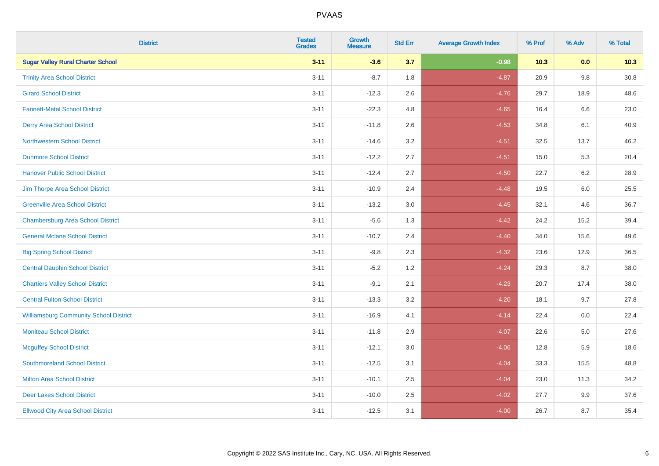| <b>District</b>                               | <b>Tested</b><br><b>Grades</b> | <b>Growth</b><br><b>Measure</b> | <b>Std Err</b> | <b>Average Growth Index</b> | % Prof | % Adv   | % Total  |
|-----------------------------------------------|--------------------------------|---------------------------------|----------------|-----------------------------|--------|---------|----------|
| <b>Sugar Valley Rural Charter School</b>      | $3 - 11$                       | $-3.6$                          | 3.7            | $-0.98$                     | 10.3   | 0.0     | 10.3     |
| <b>Trinity Area School District</b>           | $3 - 11$                       | $-8.7$                          | 1.8            | $-4.87$                     | 20.9   | $9.8\,$ | $30.8\,$ |
| <b>Girard School District</b>                 | $3 - 11$                       | $-12.3$                         | 2.6            | $-4.76$                     | 29.7   | 18.9    | 48.6     |
| <b>Fannett-Metal School District</b>          | $3 - 11$                       | $-22.3$                         | 4.8            | $-4.65$                     | 16.4   | 6.6     | 23.0     |
| <b>Derry Area School District</b>             | $3 - 11$                       | $-11.8$                         | 2.6            | $-4.53$                     | 34.8   | 6.1     | 40.9     |
| <b>Northwestern School District</b>           | $3 - 11$                       | $-14.6$                         | 3.2            | $-4.51$                     | 32.5   | 13.7    | 46.2     |
| <b>Dunmore School District</b>                | $3 - 11$                       | $-12.2$                         | 2.7            | $-4.51$                     | 15.0   | 5.3     | 20.4     |
| <b>Hanover Public School District</b>         | $3 - 11$                       | $-12.4$                         | 2.7            | $-4.50$                     | 22.7   | 6.2     | 28.9     |
| Jim Thorpe Area School District               | $3 - 11$                       | $-10.9$                         | 2.4            | $-4.48$                     | 19.5   | 6.0     | 25.5     |
| <b>Greenville Area School District</b>        | $3 - 11$                       | $-13.2$                         | 3.0            | $-4.45$                     | 32.1   | 4.6     | 36.7     |
| <b>Chambersburg Area School District</b>      | $3 - 11$                       | $-5.6$                          | 1.3            | $-4.42$                     | 24.2   | 15.2    | 39.4     |
| <b>General Mclane School District</b>         | $3 - 11$                       | $-10.7$                         | 2.4            | $-4.40$                     | 34.0   | 15.6    | 49.6     |
| <b>Big Spring School District</b>             | $3 - 11$                       | $-9.8$                          | 2.3            | $-4.32$                     | 23.6   | 12.9    | 36.5     |
| <b>Central Dauphin School District</b>        | $3 - 11$                       | $-5.2$                          | 1.2            | $-4.24$                     | 29.3   | 8.7     | 38.0     |
| <b>Chartiers Valley School District</b>       | $3 - 11$                       | $-9.1$                          | 2.1            | $-4.23$                     | 20.7   | 17.4    | 38.0     |
| <b>Central Fulton School District</b>         | $3 - 11$                       | $-13.3$                         | 3.2            | $-4.20$                     | 18.1   | 9.7     | 27.8     |
| <b>Williamsburg Community School District</b> | $3 - 11$                       | $-16.9$                         | 4.1            | $-4.14$                     | 22.4   | 0.0     | 22.4     |
| <b>Moniteau School District</b>               | $3 - 11$                       | $-11.8$                         | 2.9            | $-4.07$                     | 22.6   | 5.0     | 27.6     |
| <b>Mcguffey School District</b>               | $3 - 11$                       | $-12.1$                         | 3.0            | $-4.06$                     | 12.8   | 5.9     | 18.6     |
| <b>Southmoreland School District</b>          | $3 - 11$                       | $-12.5$                         | 3.1            | $-4.04$                     | 33.3   | 15.5    | 48.8     |
| <b>Milton Area School District</b>            | $3 - 11$                       | $-10.1$                         | 2.5            | $-4.04$                     | 23.0   | 11.3    | 34.2     |
| <b>Deer Lakes School District</b>             | $3 - 11$                       | $-10.0$                         | 2.5            | $-4.02$                     | 27.7   | 9.9     | 37.6     |
| <b>Ellwood City Area School District</b>      | $3 - 11$                       | $-12.5$                         | 3.1            | $-4.00$                     | 26.7   | 8.7     | 35.4     |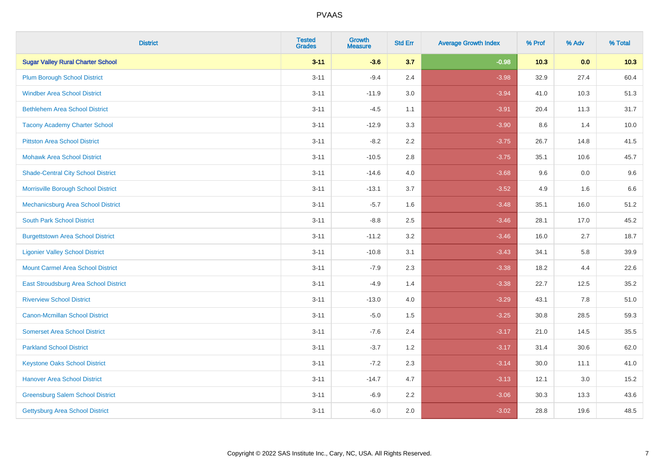| <b>District</b>                           | <b>Tested</b><br><b>Grades</b> | <b>Growth</b><br><b>Measure</b> | <b>Std Err</b> | <b>Average Growth Index</b> | % Prof | % Adv | % Total |
|-------------------------------------------|--------------------------------|---------------------------------|----------------|-----------------------------|--------|-------|---------|
| <b>Sugar Valley Rural Charter School</b>  | $3 - 11$                       | $-3.6$                          | 3.7            | $-0.98$                     | 10.3   | 0.0   | 10.3    |
| <b>Plum Borough School District</b>       | $3 - 11$                       | $-9.4$                          | 2.4            | $-3.98$                     | 32.9   | 27.4  | 60.4    |
| <b>Windber Area School District</b>       | $3 - 11$                       | $-11.9$                         | 3.0            | $-3.94$                     | 41.0   | 10.3  | 51.3    |
| <b>Bethlehem Area School District</b>     | $3 - 11$                       | $-4.5$                          | 1.1            | $-3.91$                     | 20.4   | 11.3  | 31.7    |
| <b>Tacony Academy Charter School</b>      | $3 - 11$                       | $-12.9$                         | 3.3            | $-3.90$                     | 8.6    | 1.4   | 10.0    |
| <b>Pittston Area School District</b>      | $3 - 11$                       | $-8.2$                          | 2.2            | $-3.75$                     | 26.7   | 14.8  | 41.5    |
| <b>Mohawk Area School District</b>        | $3 - 11$                       | $-10.5$                         | 2.8            | $-3.75$                     | 35.1   | 10.6  | 45.7    |
| <b>Shade-Central City School District</b> | $3 - 11$                       | $-14.6$                         | 4.0            | $-3.68$                     | 9.6    | 0.0   | 9.6     |
| Morrisville Borough School District       | $3 - 11$                       | $-13.1$                         | 3.7            | $-3.52$                     | 4.9    | 1.6   | 6.6     |
| Mechanicsburg Area School District        | $3 - 11$                       | $-5.7$                          | 1.6            | $-3.48$                     | 35.1   | 16.0  | 51.2    |
| <b>South Park School District</b>         | $3 - 11$                       | $-8.8$                          | 2.5            | $-3.46$                     | 28.1   | 17.0  | 45.2    |
| <b>Burgettstown Area School District</b>  | $3 - 11$                       | $-11.2$                         | 3.2            | $-3.46$                     | 16.0   | 2.7   | 18.7    |
| <b>Ligonier Valley School District</b>    | $3 - 11$                       | $-10.8$                         | 3.1            | $-3.43$                     | 34.1   | 5.8   | 39.9    |
| <b>Mount Carmel Area School District</b>  | $3 - 11$                       | $-7.9$                          | 2.3            | $-3.38$                     | 18.2   | 4.4   | 22.6    |
| East Stroudsburg Area School District     | $3 - 11$                       | $-4.9$                          | 1.4            | $-3.38$                     | 22.7   | 12.5  | 35.2    |
| <b>Riverview School District</b>          | $3 - 11$                       | $-13.0$                         | 4.0            | $-3.29$                     | 43.1   | 7.8   | 51.0    |
| <b>Canon-Mcmillan School District</b>     | $3 - 11$                       | $-5.0$                          | 1.5            | $-3.25$                     | 30.8   | 28.5  | 59.3    |
| <b>Somerset Area School District</b>      | $3 - 11$                       | $-7.6$                          | 2.4            | $-3.17$                     | 21.0   | 14.5  | 35.5    |
| <b>Parkland School District</b>           | $3 - 11$                       | $-3.7$                          | 1.2            | $-3.17$                     | 31.4   | 30.6  | 62.0    |
| <b>Keystone Oaks School District</b>      | $3 - 11$                       | $-7.2$                          | 2.3            | $-3.14$                     | 30.0   | 11.1  | 41.0    |
| <b>Hanover Area School District</b>       | $3 - 11$                       | $-14.7$                         | 4.7            | $-3.13$                     | 12.1   | 3.0   | 15.2    |
| <b>Greensburg Salem School District</b>   | $3 - 11$                       | $-6.9$                          | 2.2            | $-3.06$                     | 30.3   | 13.3  | 43.6    |
| Gettysburg Area School District           | $3 - 11$                       | $-6.0$                          | 2.0            | $-3.02$                     | 28.8   | 19.6  | 48.5    |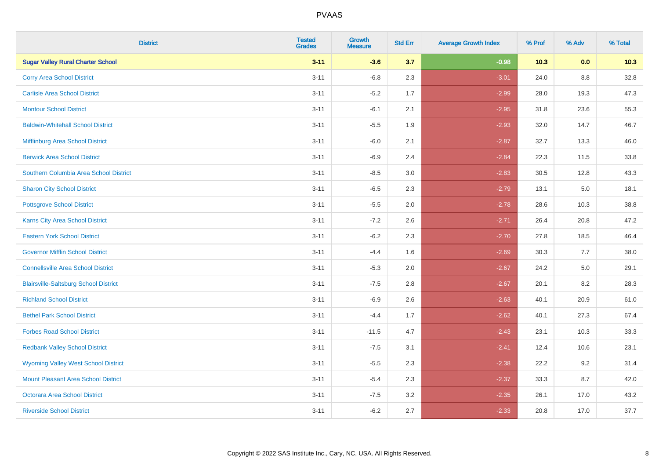| <b>District</b>                              | <b>Tested</b><br><b>Grades</b> | <b>Growth</b><br><b>Measure</b> | <b>Std Err</b> | <b>Average Growth Index</b> | % Prof | % Adv | % Total |
|----------------------------------------------|--------------------------------|---------------------------------|----------------|-----------------------------|--------|-------|---------|
| <b>Sugar Valley Rural Charter School</b>     | $3 - 11$                       | $-3.6$                          | 3.7            | $-0.98$                     | 10.3   | 0.0   | 10.3    |
| <b>Corry Area School District</b>            | $3 - 11$                       | $-6.8$                          | 2.3            | $-3.01$                     | 24.0   | 8.8   | 32.8    |
| <b>Carlisle Area School District</b>         | $3 - 11$                       | $-5.2$                          | 1.7            | $-2.99$                     | 28.0   | 19.3  | 47.3    |
| <b>Montour School District</b>               | $3 - 11$                       | $-6.1$                          | 2.1            | $-2.95$                     | 31.8   | 23.6  | 55.3    |
| <b>Baldwin-Whitehall School District</b>     | $3 - 11$                       | $-5.5$                          | 1.9            | $-2.93$                     | 32.0   | 14.7  | 46.7    |
| Mifflinburg Area School District             | $3 - 11$                       | $-6.0$                          | 2.1            | $-2.87$                     | 32.7   | 13.3  | 46.0    |
| <b>Berwick Area School District</b>          | $3 - 11$                       | $-6.9$                          | 2.4            | $-2.84$                     | 22.3   | 11.5  | 33.8    |
| Southern Columbia Area School District       | $3 - 11$                       | $-8.5$                          | 3.0            | $-2.83$                     | 30.5   | 12.8  | 43.3    |
| <b>Sharon City School District</b>           | $3 - 11$                       | $-6.5$                          | 2.3            | $-2.79$                     | 13.1   | 5.0   | 18.1    |
| <b>Pottsgrove School District</b>            | $3 - 11$                       | $-5.5$                          | 2.0            | $-2.78$                     | 28.6   | 10.3  | 38.8    |
| <b>Karns City Area School District</b>       | $3 - 11$                       | $-7.2$                          | 2.6            | $-2.71$                     | 26.4   | 20.8  | 47.2    |
| <b>Eastern York School District</b>          | $3 - 11$                       | $-6.2$                          | 2.3            | $-2.70$                     | 27.8   | 18.5  | 46.4    |
| <b>Governor Mifflin School District</b>      | $3 - 11$                       | $-4.4$                          | 1.6            | $-2.69$                     | 30.3   | 7.7   | 38.0    |
| <b>Connellsville Area School District</b>    | $3 - 11$                       | $-5.3$                          | 2.0            | $-2.67$                     | 24.2   | 5.0   | 29.1    |
| <b>Blairsville-Saltsburg School District</b> | $3 - 11$                       | $-7.5$                          | 2.8            | $-2.67$                     | 20.1   | 8.2   | 28.3    |
| <b>Richland School District</b>              | $3 - 11$                       | $-6.9$                          | 2.6            | $-2.63$                     | 40.1   | 20.9  | 61.0    |
| <b>Bethel Park School District</b>           | $3 - 11$                       | $-4.4$                          | 1.7            | $-2.62$                     | 40.1   | 27.3  | 67.4    |
| <b>Forbes Road School District</b>           | $3 - 11$                       | $-11.5$                         | 4.7            | $-2.43$                     | 23.1   | 10.3  | 33.3    |
| <b>Redbank Valley School District</b>        | $3 - 11$                       | $-7.5$                          | 3.1            | $-2.41$                     | 12.4   | 10.6  | 23.1    |
| <b>Wyoming Valley West School District</b>   | $3 - 11$                       | $-5.5$                          | 2.3            | $-2.38$                     | 22.2   | 9.2   | 31.4    |
| <b>Mount Pleasant Area School District</b>   | $3 - 11$                       | $-5.4$                          | 2.3            | $-2.37$                     | 33.3   | 8.7   | 42.0    |
| <b>Octorara Area School District</b>         | $3 - 11$                       | $-7.5$                          | 3.2            | $-2.35$                     | 26.1   | 17.0  | 43.2    |
| <b>Riverside School District</b>             | $3 - 11$                       | $-6.2$                          | 2.7            | $-2.33$                     | 20.8   | 17.0  | 37.7    |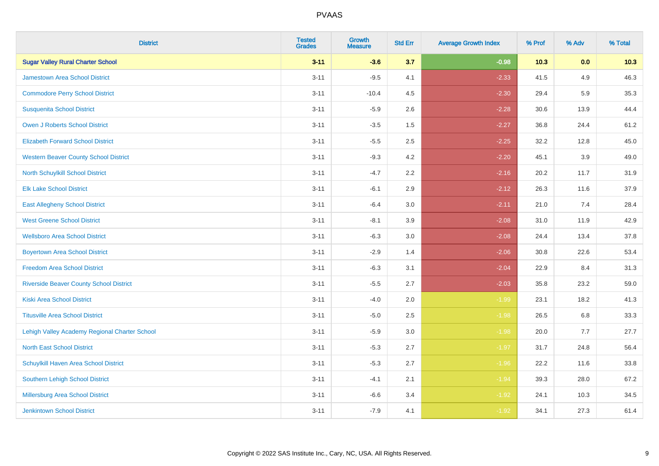| <b>District</b>                                | <b>Tested</b><br><b>Grades</b> | <b>Growth</b><br><b>Measure</b> | <b>Std Err</b> | <b>Average Growth Index</b> | % Prof | % Adv | % Total |
|------------------------------------------------|--------------------------------|---------------------------------|----------------|-----------------------------|--------|-------|---------|
| <b>Sugar Valley Rural Charter School</b>       | $3 - 11$                       | $-3.6$                          | 3.7            | $-0.98$                     | 10.3   | 0.0   | 10.3    |
| <b>Jamestown Area School District</b>          | $3 - 11$                       | $-9.5$                          | 4.1            | $-2.33$                     | 41.5   | 4.9   | 46.3    |
| <b>Commodore Perry School District</b>         | $3 - 11$                       | $-10.4$                         | 4.5            | $-2.30$                     | 29.4   | 5.9   | 35.3    |
| <b>Susquenita School District</b>              | $3 - 11$                       | $-5.9$                          | 2.6            | $-2.28$                     | 30.6   | 13.9  | 44.4    |
| <b>Owen J Roberts School District</b>          | $3 - 11$                       | $-3.5$                          | 1.5            | $-2.27$                     | 36.8   | 24.4  | 61.2    |
| <b>Elizabeth Forward School District</b>       | $3 - 11$                       | $-5.5$                          | 2.5            | $-2.25$                     | 32.2   | 12.8  | 45.0    |
| <b>Western Beaver County School District</b>   | $3 - 11$                       | $-9.3$                          | 4.2            | $-2.20$                     | 45.1   | 3.9   | 49.0    |
| North Schuylkill School District               | $3 - 11$                       | $-4.7$                          | 2.2            | $-2.16$                     | 20.2   | 11.7  | 31.9    |
| <b>Elk Lake School District</b>                | $3 - 11$                       | $-6.1$                          | 2.9            | $-2.12$                     | 26.3   | 11.6  | 37.9    |
| <b>East Allegheny School District</b>          | $3 - 11$                       | $-6.4$                          | 3.0            | $-2.11$                     | 21.0   | 7.4   | 28.4    |
| <b>West Greene School District</b>             | $3 - 11$                       | $-8.1$                          | 3.9            | $-2.08$                     | 31.0   | 11.9  | 42.9    |
| <b>Wellsboro Area School District</b>          | $3 - 11$                       | $-6.3$                          | 3.0            | $-2.08$                     | 24.4   | 13.4  | 37.8    |
| <b>Boyertown Area School District</b>          | $3 - 11$                       | $-2.9$                          | 1.4            | $-2.06$                     | 30.8   | 22.6  | 53.4    |
| <b>Freedom Area School District</b>            | $3 - 11$                       | $-6.3$                          | 3.1            | $-2.04$                     | 22.9   | 8.4   | 31.3    |
| <b>Riverside Beaver County School District</b> | $3 - 11$                       | $-5.5$                          | 2.7            | $-2.03$                     | 35.8   | 23.2  | 59.0    |
| <b>Kiski Area School District</b>              | $3 - 11$                       | $-4.0$                          | 2.0            | $-1.99$                     | 23.1   | 18.2  | 41.3    |
| <b>Titusville Area School District</b>         | $3 - 11$                       | $-5.0$                          | 2.5            | $-1.98$                     | 26.5   | 6.8   | 33.3    |
| Lehigh Valley Academy Regional Charter School  | $3 - 11$                       | $-5.9$                          | 3.0            | $-1.98$                     | 20.0   | 7.7   | 27.7    |
| <b>North East School District</b>              | $3 - 11$                       | $-5.3$                          | 2.7            | $-1.97$                     | 31.7   | 24.8  | 56.4    |
| Schuylkill Haven Area School District          | $3 - 11$                       | $-5.3$                          | 2.7            | $-1.96$                     | 22.2   | 11.6  | 33.8    |
| Southern Lehigh School District                | $3 - 11$                       | $-4.1$                          | 2.1            | $-1.94$                     | 39.3   | 28.0  | 67.2    |
| Millersburg Area School District               | $3 - 11$                       | $-6.6$                          | 3.4            | $-1.92$                     | 24.1   | 10.3  | 34.5    |
| <b>Jenkintown School District</b>              | $3 - 11$                       | $-7.9$                          | 4.1            | $-1.92$                     | 34.1   | 27.3  | 61.4    |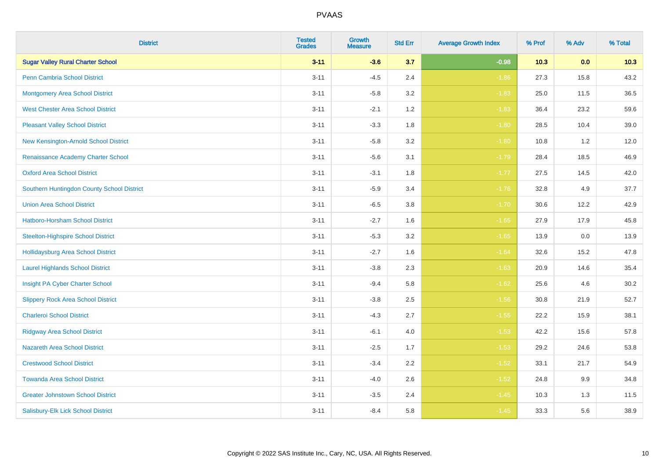| <b>District</b>                            | <b>Tested</b><br><b>Grades</b> | <b>Growth</b><br><b>Measure</b> | <b>Std Err</b> | <b>Average Growth Index</b> | % Prof | % Adv | % Total |
|--------------------------------------------|--------------------------------|---------------------------------|----------------|-----------------------------|--------|-------|---------|
| <b>Sugar Valley Rural Charter School</b>   | $3 - 11$                       | $-3.6$                          | 3.7            | $-0.98$                     | 10.3   | 0.0   | 10.3    |
| <b>Penn Cambria School District</b>        | $3 - 11$                       | $-4.5$                          | 2.4            | $-1.86$                     | 27.3   | 15.8  | 43.2    |
| <b>Montgomery Area School District</b>     | $3 - 11$                       | $-5.8$                          | 3.2            | $-1.83$                     | 25.0   | 11.5  | 36.5    |
| <b>West Chester Area School District</b>   | $3 - 11$                       | $-2.1$                          | 1.2            | $-1.83$                     | 36.4   | 23.2  | 59.6    |
| <b>Pleasant Valley School District</b>     | $3 - 11$                       | $-3.3$                          | 1.8            | $-1.80$                     | 28.5   | 10.4  | 39.0    |
| New Kensington-Arnold School District      | $3 - 11$                       | $-5.8$                          | 3.2            | $-1.80$                     | 10.8   | 1.2   | 12.0    |
| Renaissance Academy Charter School         | $3 - 11$                       | $-5.6$                          | 3.1            | $-1.79$                     | 28.4   | 18.5  | 46.9    |
| <b>Oxford Area School District</b>         | $3 - 11$                       | $-3.1$                          | 1.8            | $-1.77$                     | 27.5   | 14.5  | 42.0    |
| Southern Huntingdon County School District | $3 - 11$                       | $-5.9$                          | 3.4            | $-1.76$                     | 32.8   | 4.9   | 37.7    |
| <b>Union Area School District</b>          | $3 - 11$                       | $-6.5$                          | 3.8            | $-1.70$                     | 30.6   | 12.2  | 42.9    |
| Hatboro-Horsham School District            | $3 - 11$                       | $-2.7$                          | 1.6            | $-1.65$                     | 27.9   | 17.9  | 45.8    |
| <b>Steelton-Highspire School District</b>  | $3 - 11$                       | $-5.3$                          | 3.2            | $-1.65$                     | 13.9   | 0.0   | 13.9    |
| <b>Hollidaysburg Area School District</b>  | $3 - 11$                       | $-2.7$                          | 1.6            | $-1.64$                     | 32.6   | 15.2  | 47.8    |
| <b>Laurel Highlands School District</b>    | $3 - 11$                       | $-3.8$                          | 2.3            | $-1.63$                     | 20.9   | 14.6  | 35.4    |
| Insight PA Cyber Charter School            | $3 - 11$                       | $-9.4$                          | 5.8            | $-1.62$                     | 25.6   | 4.6   | 30.2    |
| <b>Slippery Rock Area School District</b>  | $3 - 11$                       | $-3.8$                          | 2.5            | $-1.56$                     | 30.8   | 21.9  | 52.7    |
| <b>Charleroi School District</b>           | $3 - 11$                       | $-4.3$                          | 2.7            | $-1.55$                     | 22.2   | 15.9  | 38.1    |
| <b>Ridgway Area School District</b>        | $3 - 11$                       | $-6.1$                          | 4.0            | $-1.53$                     | 42.2   | 15.6  | 57.8    |
| Nazareth Area School District              | $3 - 11$                       | $-2.5$                          | 1.7            | $-1.53$                     | 29.2   | 24.6  | 53.8    |
| <b>Crestwood School District</b>           | $3 - 11$                       | $-3.4$                          | 2.2            | $-1.52$                     | 33.1   | 21.7  | 54.9    |
| <b>Towanda Area School District</b>        | $3 - 11$                       | $-4.0$                          | 2.6            | $-1.52$                     | 24.8   | 9.9   | 34.8    |
| <b>Greater Johnstown School District</b>   | $3 - 11$                       | $-3.5$                          | 2.4            | $-1.45$                     | 10.3   | 1.3   | 11.5    |
| Salisbury-Elk Lick School District         | $3 - 11$                       | $-8.4$                          | 5.8            | $-1.45$                     | 33.3   | 5.6   | 38.9    |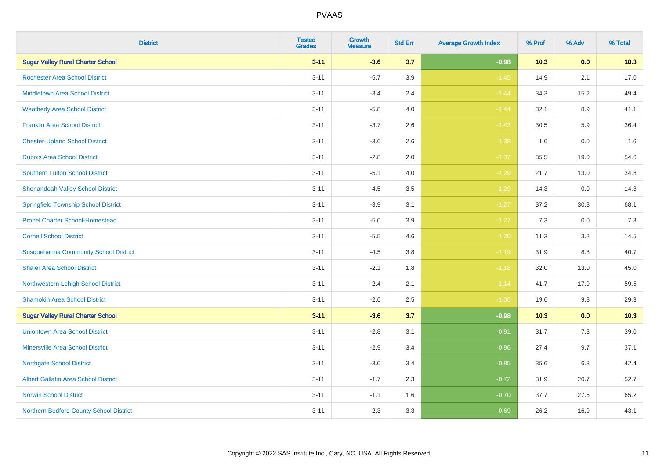| <b>District</b>                              | <b>Tested</b><br><b>Grades</b> | <b>Growth</b><br><b>Measure</b> | <b>Std Err</b> | <b>Average Growth Index</b> | % Prof | % Adv   | % Total |
|----------------------------------------------|--------------------------------|---------------------------------|----------------|-----------------------------|--------|---------|---------|
| <b>Sugar Valley Rural Charter School</b>     | $3 - 11$                       | $-3.6$                          | 3.7            | $-0.98$                     | 10.3   | 0.0     | 10.3    |
| <b>Rochester Area School District</b>        | $3 - 11$                       | $-5.7$                          | 3.9            | $-1.45$                     | 14.9   | 2.1     | 17.0    |
| <b>Middletown Area School District</b>       | $3 - 11$                       | $-3.4$                          | 2.4            | $-1.44$                     | 34.3   | 15.2    | 49.4    |
| <b>Weatherly Area School District</b>        | $3 - 11$                       | $-5.8$                          | 4.0            | $-1.44$                     | 32.1   | 8.9     | 41.1    |
| <b>Franklin Area School District</b>         | $3 - 11$                       | $-3.7$                          | 2.6            | $-1.43$                     | 30.5   | 5.9     | 36.4    |
| <b>Chester-Upland School District</b>        | $3 - 11$                       | $-3.6$                          | 2.6            | $-1.38$                     | 1.6    | 0.0     | 1.6     |
| <b>Dubois Area School District</b>           | $3 - 11$                       | $-2.8$                          | 2.0            | $-1.37$                     | 35.5   | 19.0    | 54.6    |
| <b>Southern Fulton School District</b>       | $3 - 11$                       | $-5.1$                          | 4.0            | $-1.29$                     | 21.7   | 13.0    | 34.8    |
| <b>Shenandoah Valley School District</b>     | $3 - 11$                       | $-4.5$                          | 3.5            | $-1.29$                     | 14.3   | 0.0     | 14.3    |
| <b>Springfield Township School District</b>  | $3 - 11$                       | $-3.9$                          | 3.1            | $-1.27$                     | 37.2   | 30.8    | 68.1    |
| <b>Propel Charter School-Homestead</b>       | $3 - 11$                       | $-5.0$                          | 3.9            | $-1.27$                     | 7.3    | 0.0     | 7.3     |
| <b>Cornell School District</b>               | $3 - 11$                       | $-5.5$                          | 4.6            | $-1.20$                     | 11.3   | 3.2     | 14.5    |
| <b>Susquehanna Community School District</b> | $3 - 11$                       | $-4.5$                          | $3.8\,$        | $-1.19$                     | 31.9   | 8.8     | 40.7    |
| <b>Shaler Area School District</b>           | $3 - 11$                       | $-2.1$                          | 1.8            | $-1.18$                     | 32.0   | 13.0    | 45.0    |
| Northwestern Lehigh School District          | $3 - 11$                       | $-2.4$                          | 2.1            | $-1.14$                     | 41.7   | 17.9    | 59.5    |
| <b>Shamokin Area School District</b>         | $3 - 11$                       | $-2.6$                          | 2.5            | $-1.06$                     | 19.6   | $9.8\,$ | 29.3    |
| <b>Sugar Valley Rural Charter School</b>     | $3 - 11$                       | $-3.6$                          | 3.7            | $-0.98$                     | 10.3   | 0.0     | 10.3    |
| <b>Uniontown Area School District</b>        | $3 - 11$                       | $-2.8$                          | 3.1            | $-0.91$                     | 31.7   | 7.3     | 39.0    |
| <b>Minersville Area School District</b>      | $3 - 11$                       | $-2.9$                          | 3.4            | $-0.86$                     | 27.4   | 9.7     | 37.1    |
| <b>Northgate School District</b>             | $3 - 11$                       | $-3.0$                          | 3.4            | $-0.85$                     | 35.6   | $6.8\,$ | 42.4    |
| Albert Gallatin Area School District         | $3 - 11$                       | $-1.7$                          | 2.3            | $-0.72$                     | 31.9   | 20.7    | 52.7    |
| <b>Norwin School District</b>                | $3 - 11$                       | $-1.1$                          | 1.6            | $-0.70$                     | 37.7   | 27.6    | 65.2    |
| Northern Bedford County School District      | $3 - 11$                       | $-2.3$                          | 3.3            | $-0.69$                     | 26.2   | 16.9    | 43.1    |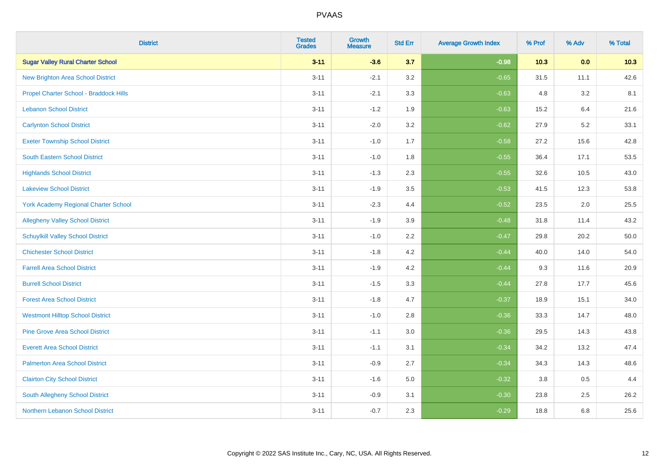| <b>District</b>                             | <b>Tested</b><br><b>Grades</b> | <b>Growth</b><br><b>Measure</b> | <b>Std Err</b> | <b>Average Growth Index</b> | % Prof | % Adv | % Total |
|---------------------------------------------|--------------------------------|---------------------------------|----------------|-----------------------------|--------|-------|---------|
| <b>Sugar Valley Rural Charter School</b>    | $3 - 11$                       | $-3.6$                          | 3.7            | $-0.98$                     | 10.3   | 0.0   | 10.3    |
| <b>New Brighton Area School District</b>    | $3 - 11$                       | $-2.1$                          | 3.2            | $-0.65$                     | 31.5   | 11.1  | 42.6    |
| Propel Charter School - Braddock Hills      | $3 - 11$                       | $-2.1$                          | 3.3            | $-0.63$                     | 4.8    | 3.2   | 8.1     |
| <b>Lebanon School District</b>              | $3 - 11$                       | $-1.2$                          | 1.9            | $-0.63$                     | 15.2   | 6.4   | 21.6    |
| <b>Carlynton School District</b>            | $3 - 11$                       | $-2.0$                          | 3.2            | $-0.62$                     | 27.9   | 5.2   | 33.1    |
| <b>Exeter Township School District</b>      | $3 - 11$                       | $-1.0$                          | 1.7            | $-0.58$                     | 27.2   | 15.6  | 42.8    |
| South Eastern School District               | $3 - 11$                       | $-1.0$                          | 1.8            | $-0.55$                     | 36.4   | 17.1  | 53.5    |
| <b>Highlands School District</b>            | $3 - 11$                       | $-1.3$                          | 2.3            | $-0.55$                     | 32.6   | 10.5  | 43.0    |
| <b>Lakeview School District</b>             | $3 - 11$                       | $-1.9$                          | 3.5            | $-0.53$                     | 41.5   | 12.3  | 53.8    |
| <b>York Academy Regional Charter School</b> | $3 - 11$                       | $-2.3$                          | 4.4            | $-0.52$                     | 23.5   | 2.0   | 25.5    |
| <b>Allegheny Valley School District</b>     | $3 - 11$                       | $-1.9$                          | 3.9            | $-0.48$                     | 31.8   | 11.4  | 43.2    |
| <b>Schuylkill Valley School District</b>    | $3 - 11$                       | $-1.0$                          | 2.2            | $-0.47$                     | 29.8   | 20.2  | 50.0    |
| <b>Chichester School District</b>           | $3 - 11$                       | $-1.8$                          | 4.2            | $-0.44$                     | 40.0   | 14.0  | 54.0    |
| <b>Farrell Area School District</b>         | $3 - 11$                       | $-1.9$                          | 4.2            | $-0.44$                     | 9.3    | 11.6  | 20.9    |
| <b>Burrell School District</b>              | $3 - 11$                       | $-1.5$                          | 3.3            | $-0.44$                     | 27.8   | 17.7  | 45.6    |
| <b>Forest Area School District</b>          | $3 - 11$                       | $-1.8$                          | 4.7            | $-0.37$                     | 18.9   | 15.1  | 34.0    |
| <b>Westmont Hilltop School District</b>     | $3 - 11$                       | $-1.0$                          | 2.8            | $-0.36$                     | 33.3   | 14.7  | 48.0    |
| <b>Pine Grove Area School District</b>      | $3 - 11$                       | $-1.1$                          | 3.0            | $-0.36$                     | 29.5   | 14.3  | 43.8    |
| <b>Everett Area School District</b>         | $3 - 11$                       | $-1.1$                          | 3.1            | $-0.34$                     | 34.2   | 13.2  | 47.4    |
| <b>Palmerton Area School District</b>       | $3 - 11$                       | $-0.9$                          | 2.7            | $-0.34$                     | 34.3   | 14.3  | 48.6    |
| <b>Clairton City School District</b>        | $3 - 11$                       | $-1.6$                          | 5.0            | $-0.32$                     | 3.8    | 0.5   | 4.4     |
| South Allegheny School District             | $3 - 11$                       | $-0.9$                          | 3.1            | $-0.30$                     | 23.8   | 2.5   | 26.2    |
| <b>Northern Lebanon School District</b>     | $3 - 11$                       | $-0.7$                          | 2.3            | $-0.29$                     | 18.8   | 6.8   | 25.6    |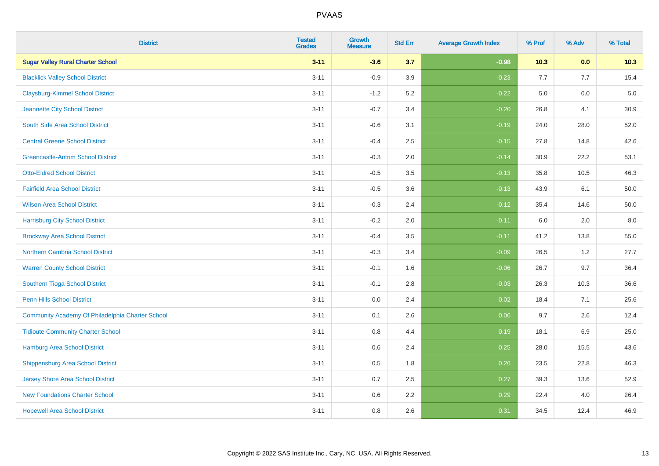| <b>District</b>                                  | <b>Tested</b><br><b>Grades</b> | <b>Growth</b><br><b>Measure</b> | <b>Std Err</b> | <b>Average Growth Index</b> | % Prof | % Adv   | % Total |
|--------------------------------------------------|--------------------------------|---------------------------------|----------------|-----------------------------|--------|---------|---------|
| <b>Sugar Valley Rural Charter School</b>         | $3 - 11$                       | $-3.6$                          | 3.7            | $-0.98$                     | 10.3   | 0.0     | 10.3    |
| <b>Blacklick Valley School District</b>          | $3 - 11$                       | $-0.9$                          | 3.9            | $-0.23$                     | 7.7    | 7.7     | 15.4    |
| <b>Claysburg-Kimmel School District</b>          | $3 - 11$                       | $-1.2$                          | 5.2            | $-0.22$                     | 5.0    | 0.0     | $5.0$   |
| Jeannette City School District                   | $3 - 11$                       | $-0.7$                          | 3.4            | $-0.20$                     | 26.8   | 4.1     | 30.9    |
| South Side Area School District                  | $3 - 11$                       | $-0.6$                          | 3.1            | $-0.19$                     | 24.0   | 28.0    | 52.0    |
| <b>Central Greene School District</b>            | $3 - 11$                       | $-0.4$                          | 2.5            | $-0.15$                     | 27.8   | 14.8    | 42.6    |
| <b>Greencastle-Antrim School District</b>        | $3 - 11$                       | $-0.3$                          | 2.0            | $-0.14$                     | 30.9   | 22.2    | 53.1    |
| <b>Otto-Eldred School District</b>               | $3 - 11$                       | $-0.5$                          | 3.5            | $-0.13$                     | 35.8   | 10.5    | 46.3    |
| <b>Fairfield Area School District</b>            | $3 - 11$                       | $-0.5$                          | 3.6            | $-0.13$                     | 43.9   | 6.1     | 50.0    |
| <b>Wilson Area School District</b>               | $3 - 11$                       | $-0.3$                          | 2.4            | $-0.12$                     | 35.4   | 14.6    | 50.0    |
| <b>Harrisburg City School District</b>           | $3 - 11$                       | $-0.2$                          | 2.0            | $-0.11$                     | 6.0    | 2.0     | 8.0     |
| <b>Brockway Area School District</b>             | $3 - 11$                       | $-0.4$                          | 3.5            | $-0.11$                     | 41.2   | 13.8    | 55.0    |
| Northern Cambria School District                 | $3 - 11$                       | $-0.3$                          | 3.4            | $-0.09$                     | 26.5   | $1.2\,$ | 27.7    |
| <b>Warren County School District</b>             | $3 - 11$                       | $-0.1$                          | 1.6            | $-0.06$                     | 26.7   | 9.7     | 36.4    |
| Southern Tioga School District                   | $3 - 11$                       | $-0.1$                          | 2.8            | $-0.03$                     | 26.3   | 10.3    | 36.6    |
| Penn Hills School District                       | $3 - 11$                       | 0.0                             | 2.4            | 0.02                        | 18.4   | 7.1     | 25.6    |
| Community Academy Of Philadelphia Charter School | $3 - 11$                       | 0.1                             | 2.6            | 0.06                        | 9.7    | 2.6     | 12.4    |
| <b>Tidioute Community Charter School</b>         | $3 - 11$                       | 0.8                             | 4.4            | 0.19                        | 18.1   | 6.9     | 25.0    |
| <b>Hamburg Area School District</b>              | $3 - 11$                       | 0.6                             | 2.4            | 0.25                        | 28.0   | 15.5    | 43.6    |
| <b>Shippensburg Area School District</b>         | $3 - 11$                       | 0.5                             | 1.8            | 0.26                        | 23.5   | 22.8    | 46.3    |
| <b>Jersey Shore Area School District</b>         | $3 - 11$                       | 0.7                             | 2.5            | 0.27                        | 39.3   | 13.6    | 52.9    |
| <b>New Foundations Charter School</b>            | $3 - 11$                       | 0.6                             | 2.2            | 0.29                        | 22.4   | 4.0     | 26.4    |
| <b>Hopewell Area School District</b>             | $3 - 11$                       | 0.8                             | 2.6            | 0.31                        | 34.5   | 12.4    | 46.9    |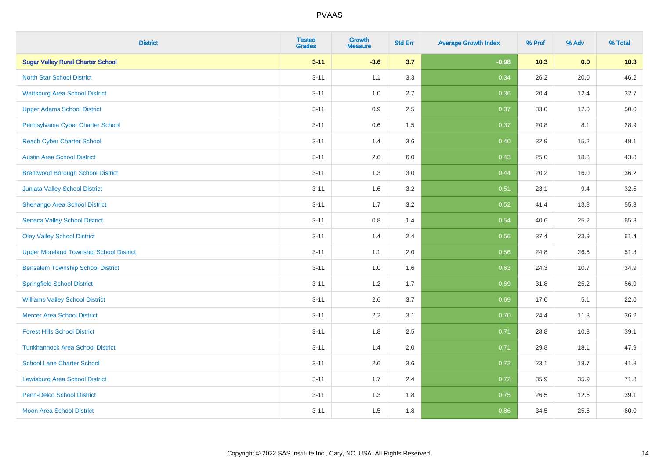| <b>District</b>                                | <b>Tested</b><br><b>Grades</b> | <b>Growth</b><br><b>Measure</b> | <b>Std Err</b> | <b>Average Growth Index</b> | % Prof | % Adv | % Total |
|------------------------------------------------|--------------------------------|---------------------------------|----------------|-----------------------------|--------|-------|---------|
| <b>Sugar Valley Rural Charter School</b>       | $3 - 11$                       | $-3.6$                          | 3.7            | $-0.98$                     | 10.3   | 0.0   | 10.3    |
| <b>North Star School District</b>              | $3 - 11$                       | 1.1                             | 3.3            | 0.34                        | 26.2   | 20.0  | 46.2    |
| <b>Wattsburg Area School District</b>          | $3 - 11$                       | 1.0                             | 2.7            | 0.36                        | 20.4   | 12.4  | 32.7    |
| <b>Upper Adams School District</b>             | $3 - 11$                       | 0.9                             | 2.5            | 0.37                        | 33.0   | 17.0  | 50.0    |
| Pennsylvania Cyber Charter School              | $3 - 11$                       | 0.6                             | 1.5            | 0.37                        | 20.8   | 8.1   | 28.9    |
| <b>Reach Cyber Charter School</b>              | $3 - 11$                       | 1.4                             | 3.6            | 0.40                        | 32.9   | 15.2  | 48.1    |
| <b>Austin Area School District</b>             | $3 - 11$                       | 2.6                             | 6.0            | 0.43                        | 25.0   | 18.8  | 43.8    |
| <b>Brentwood Borough School District</b>       | $3 - 11$                       | 1.3                             | 3.0            | 0.44                        | 20.2   | 16.0  | 36.2    |
| <b>Juniata Valley School District</b>          | $3 - 11$                       | 1.6                             | 3.2            | 0.51                        | 23.1   | 9.4   | 32.5    |
| Shenango Area School District                  | $3 - 11$                       | 1.7                             | 3.2            | 0.52                        | 41.4   | 13.8  | 55.3    |
| <b>Seneca Valley School District</b>           | $3 - 11$                       | 0.8                             | 1.4            | 0.54                        | 40.6   | 25.2  | 65.8    |
| <b>Oley Valley School District</b>             | $3 - 11$                       | 1.4                             | 2.4            | 0.56                        | 37.4   | 23.9  | 61.4    |
| <b>Upper Moreland Township School District</b> | $3 - 11$                       | 1.1                             | 2.0            | 0.56                        | 24.8   | 26.6  | 51.3    |
| <b>Bensalem Township School District</b>       | $3 - 11$                       | 1.0                             | 1.6            | 0.63                        | 24.3   | 10.7  | 34.9    |
| <b>Springfield School District</b>             | $3 - 11$                       | 1.2                             | 1.7            | $\boxed{0.69}$              | 31.8   | 25.2  | 56.9    |
| <b>Williams Valley School District</b>         | $3 - 11$                       | 2.6                             | 3.7            | 0.69                        | 17.0   | 5.1   | 22.0    |
| <b>Mercer Area School District</b>             | $3 - 11$                       | $2.2\,$                         | 3.1            | 0.70                        | 24.4   | 11.8  | 36.2    |
| <b>Forest Hills School District</b>            | $3 - 11$                       | 1.8                             | 2.5            | 0.71                        | 28.8   | 10.3  | 39.1    |
| <b>Tunkhannock Area School District</b>        | $3 - 11$                       | 1.4                             | 2.0            | 0.71                        | 29.8   | 18.1  | 47.9    |
| <b>School Lane Charter School</b>              | $3 - 11$                       | 2.6                             | 3.6            | 0.72                        | 23.1   | 18.7  | 41.8    |
| <b>Lewisburg Area School District</b>          | $3 - 11$                       | 1.7                             | 2.4            | 0.72                        | 35.9   | 35.9  | 71.8    |
| <b>Penn-Delco School District</b>              | $3 - 11$                       | 1.3                             | 1.8            | 0.75                        | 26.5   | 12.6  | 39.1    |
| <b>Moon Area School District</b>               | $3 - 11$                       | 1.5                             | 1.8            | 0.86                        | 34.5   | 25.5  | 60.0    |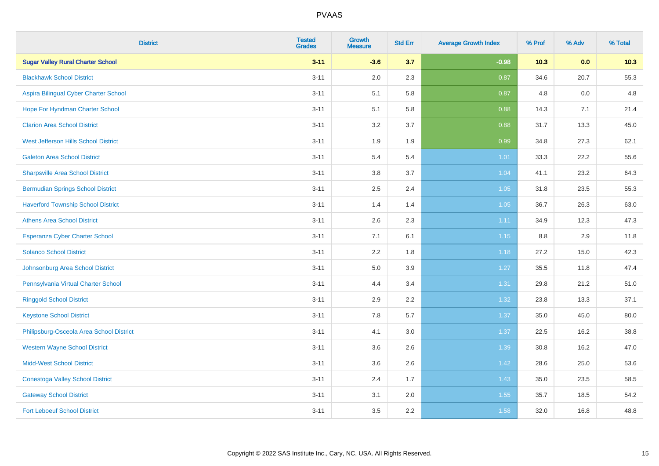| <b>District</b>                           | <b>Tested</b><br><b>Grades</b> | <b>Growth</b><br><b>Measure</b> | <b>Std Err</b> | <b>Average Growth Index</b> | % Prof | % Adv | % Total |
|-------------------------------------------|--------------------------------|---------------------------------|----------------|-----------------------------|--------|-------|---------|
| <b>Sugar Valley Rural Charter School</b>  | $3 - 11$                       | $-3.6$                          | 3.7            | $-0.98$                     | 10.3   | 0.0   | 10.3    |
| <b>Blackhawk School District</b>          | $3 - 11$                       | 2.0                             | 2.3            | 0.87                        | 34.6   | 20.7  | 55.3    |
| Aspira Bilingual Cyber Charter School     | $3 - 11$                       | 5.1                             | 5.8            | 0.87                        | 4.8    | 0.0   | 4.8     |
| Hope For Hyndman Charter School           | $3 - 11$                       | 5.1                             | 5.8            | 0.88                        | 14.3   | 7.1   | 21.4    |
| <b>Clarion Area School District</b>       | $3 - 11$                       | 3.2                             | 3.7            | 0.88                        | 31.7   | 13.3  | 45.0    |
| West Jefferson Hills School District      | $3 - 11$                       | 1.9                             | 1.9            | 0.99                        | 34.8   | 27.3  | 62.1    |
| <b>Galeton Area School District</b>       | $3 - 11$                       | 5.4                             | 5.4            | 1.01                        | 33.3   | 22.2  | 55.6    |
| <b>Sharpsville Area School District</b>   | $3 - 11$                       | 3.8                             | 3.7            | 1.04                        | 41.1   | 23.2  | 64.3    |
| <b>Bermudian Springs School District</b>  | $3 - 11$                       | 2.5                             | 2.4            | 1.05                        | 31.8   | 23.5  | 55.3    |
| <b>Haverford Township School District</b> | $3 - 11$                       | 1.4                             | 1.4            | 1.05                        | 36.7   | 26.3  | 63.0    |
| <b>Athens Area School District</b>        | $3 - 11$                       | 2.6                             | 2.3            | 1.11                        | 34.9   | 12.3  | 47.3    |
| <b>Esperanza Cyber Charter School</b>     | $3 - 11$                       | 7.1                             | 6.1            | $1.15$                      | 8.8    | 2.9   | 11.8    |
| <b>Solanco School District</b>            | $3 - 11$                       | 2.2                             | 1.8            | 1.18                        | 27.2   | 15.0  | 42.3    |
| Johnsonburg Area School District          | $3 - 11$                       | $5.0\,$                         | 3.9            | 1.27                        | 35.5   | 11.8  | 47.4    |
| Pennsylvania Virtual Charter School       | $3 - 11$                       | 4.4                             | 3.4            | 1.31                        | 29.8   | 21.2  | 51.0    |
| <b>Ringgold School District</b>           | $3 - 11$                       | 2.9                             | 2.2            | 1.32                        | 23.8   | 13.3  | 37.1    |
| <b>Keystone School District</b>           | $3 - 11$                       | 7.8                             | 5.7            | 1.37                        | 35.0   | 45.0  | 80.0    |
| Philipsburg-Osceola Area School District  | $3 - 11$                       | 4.1                             | 3.0            | 1.37                        | 22.5   | 16.2  | 38.8    |
| <b>Western Wayne School District</b>      | $3 - 11$                       | 3.6                             | 2.6            | 1.39                        | 30.8   | 16.2  | 47.0    |
| <b>Midd-West School District</b>          | $3 - 11$                       | 3.6                             | 2.6            | 1.42                        | 28.6   | 25.0  | 53.6    |
| <b>Conestoga Valley School District</b>   | $3 - 11$                       | 2.4                             | 1.7            | 1.43                        | 35.0   | 23.5  | 58.5    |
| <b>Gateway School District</b>            | $3 - 11$                       | 3.1                             | 2.0            | 1.55                        | 35.7   | 18.5  | 54.2    |
| <b>Fort Leboeuf School District</b>       | $3 - 11$                       | 3.5                             | 2.2            | 1.58                        | 32.0   | 16.8  | 48.8    |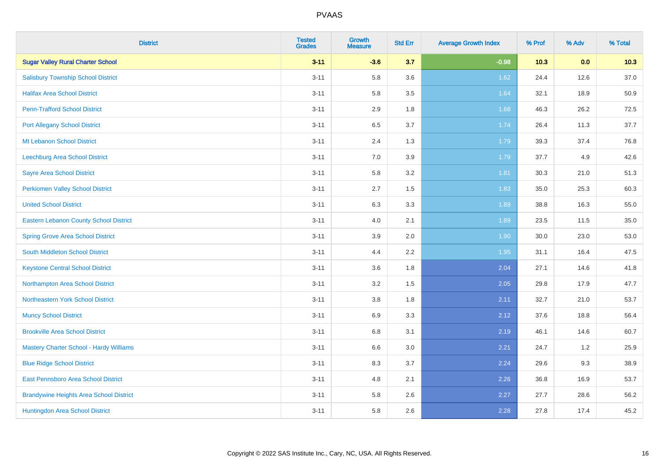| <b>District</b>                                | <b>Tested</b><br><b>Grades</b> | <b>Growth</b><br><b>Measure</b> | <b>Std Err</b> | <b>Average Growth Index</b> | % Prof | % Adv | % Total |
|------------------------------------------------|--------------------------------|---------------------------------|----------------|-----------------------------|--------|-------|---------|
| <b>Sugar Valley Rural Charter School</b>       | $3 - 11$                       | $-3.6$                          | 3.7            | $-0.98$                     | 10.3   | 0.0   | 10.3    |
| <b>Salisbury Township School District</b>      | $3 - 11$                       | 5.8                             | 3.6            | 1.62                        | 24.4   | 12.6  | 37.0    |
| <b>Halifax Area School District</b>            | $3 - 11$                       | 5.8                             | 3.5            | 1.64                        | 32.1   | 18.9  | 50.9    |
| <b>Penn-Trafford School District</b>           | $3 - 11$                       | 2.9                             | 1.8            | 1.68                        | 46.3   | 26.2  | 72.5    |
| <b>Port Allegany School District</b>           | $3 - 11$                       | 6.5                             | 3.7            | 1.74                        | 26.4   | 11.3  | 37.7    |
| Mt Lebanon School District                     | $3 - 11$                       | 2.4                             | 1.3            | 1.79                        | 39.3   | 37.4  | 76.8    |
| Leechburg Area School District                 | $3 - 11$                       | 7.0                             | 3.9            | 1.79                        | 37.7   | 4.9   | 42.6    |
| <b>Sayre Area School District</b>              | $3 - 11$                       | 5.8                             | 3.2            | 1.81                        | 30.3   | 21.0  | 51.3    |
| Perkiomen Valley School District               | $3 - 11$                       | 2.7                             | 1.5            | 1.83                        | 35.0   | 25.3  | 60.3    |
| <b>United School District</b>                  | $3 - 11$                       | 6.3                             | 3.3            | 1.89                        | 38.8   | 16.3  | 55.0    |
| Eastern Lebanon County School District         | $3 - 11$                       | 4.0                             | 2.1            | 1.89                        | 23.5   | 11.5  | 35.0    |
| <b>Spring Grove Area School District</b>       | $3 - 11$                       | 3.9                             | 2.0            | 1.90                        | 30.0   | 23.0  | 53.0    |
| South Middleton School District                | $3 - 11$                       | 4.4                             | 2.2            | 1.95                        | 31.1   | 16.4  | 47.5    |
| <b>Keystone Central School District</b>        | $3 - 11$                       | 3.6                             | 1.8            | 2.04                        | 27.1   | 14.6  | 41.8    |
| Northampton Area School District               | $3 - 11$                       | 3.2                             | 1.5            | 2.05                        | 29.8   | 17.9  | 47.7    |
| Northeastern York School District              | $3 - 11$                       | $3.8\,$                         | 1.8            | 2.11                        | 32.7   | 21.0  | 53.7    |
| <b>Muncy School District</b>                   | $3 - 11$                       | 6.9                             | 3.3            | 2.12                        | 37.6   | 18.8  | 56.4    |
| <b>Brookville Area School District</b>         | $3 - 11$                       | 6.8                             | 3.1            | 2.19                        | 46.1   | 14.6  | 60.7    |
| <b>Mastery Charter School - Hardy Williams</b> | $3 - 11$                       | $6.6\,$                         | 3.0            | 2.21                        | 24.7   | 1.2   | 25.9    |
| <b>Blue Ridge School District</b>              | $3 - 11$                       | 8.3                             | 3.7            | 2.24                        | 29.6   | 9.3   | 38.9    |
| East Pennsboro Area School District            | $3 - 11$                       | 4.8                             | 2.1            | 2.26                        | 36.8   | 16.9  | 53.7    |
| <b>Brandywine Heights Area School District</b> | $3 - 11$                       | 5.8                             | 2.6            | 2.27                        | 27.7   | 28.6  | 56.2    |
| Huntingdon Area School District                | $3 - 11$                       | 5.8                             | 2.6            | 2.28                        | 27.8   | 17.4  | 45.2    |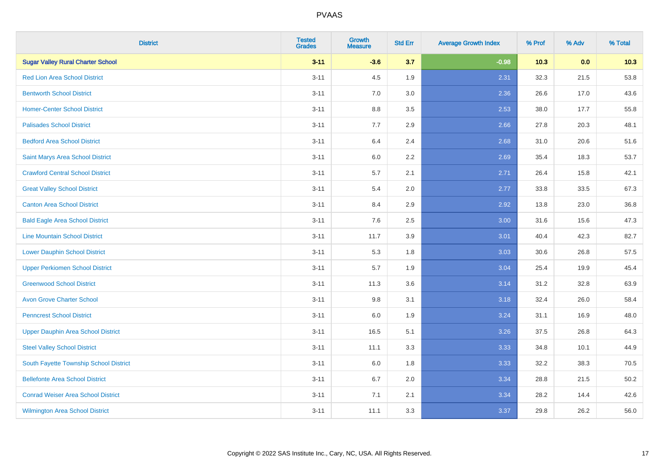| <b>District</b>                           | <b>Tested</b><br><b>Grades</b> | <b>Growth</b><br><b>Measure</b> | <b>Std Err</b> | <b>Average Growth Index</b> | % Prof | % Adv | % Total |
|-------------------------------------------|--------------------------------|---------------------------------|----------------|-----------------------------|--------|-------|---------|
| <b>Sugar Valley Rural Charter School</b>  | $3 - 11$                       | $-3.6$                          | 3.7            | $-0.98$                     | 10.3   | 0.0   | 10.3    |
| <b>Red Lion Area School District</b>      | $3 - 11$                       | 4.5                             | 1.9            | 2.31                        | 32.3   | 21.5  | 53.8    |
| <b>Bentworth School District</b>          | $3 - 11$                       | 7.0                             | 3.0            | 2.36                        | 26.6   | 17.0  | 43.6    |
| <b>Homer-Center School District</b>       | $3 - 11$                       | 8.8                             | 3.5            | 2.53                        | 38.0   | 17.7  | 55.8    |
| <b>Palisades School District</b>          | $3 - 11$                       | 7.7                             | 2.9            | 2.66                        | 27.8   | 20.3  | 48.1    |
| <b>Bedford Area School District</b>       | $3 - 11$                       | 6.4                             | 2.4            | 2.68                        | 31.0   | 20.6  | 51.6    |
| Saint Marys Area School District          | $3 - 11$                       | 6.0                             | 2.2            | 2.69                        | 35.4   | 18.3  | 53.7    |
| <b>Crawford Central School District</b>   | $3 - 11$                       | 5.7                             | 2.1            | 2.71                        | 26.4   | 15.8  | 42.1    |
| <b>Great Valley School District</b>       | $3 - 11$                       | 5.4                             | 2.0            | 2.77                        | 33.8   | 33.5  | 67.3    |
| <b>Canton Area School District</b>        | $3 - 11$                       | 8.4                             | 2.9            | 2.92                        | 13.8   | 23.0  | 36.8    |
| <b>Bald Eagle Area School District</b>    | $3 - 11$                       | 7.6                             | 2.5            | 3.00                        | 31.6   | 15.6  | 47.3    |
| <b>Line Mountain School District</b>      | $3 - 11$                       | 11.7                            | 3.9            | 3.01                        | 40.4   | 42.3  | 82.7    |
| <b>Lower Dauphin School District</b>      | $3 - 11$                       | 5.3                             | 1.8            | 3.03                        | 30.6   | 26.8  | 57.5    |
| <b>Upper Perkiomen School District</b>    | $3 - 11$                       | 5.7                             | 1.9            | 3.04                        | 25.4   | 19.9  | 45.4    |
| <b>Greenwood School District</b>          | $3 - 11$                       | 11.3                            | 3.6            | 3.14                        | 31.2   | 32.8  | 63.9    |
| <b>Avon Grove Charter School</b>          | $3 - 11$                       | 9.8                             | 3.1            | 3.18                        | 32.4   | 26.0  | 58.4    |
| <b>Penncrest School District</b>          | $3 - 11$                       | 6.0                             | 1.9            | 3.24                        | 31.1   | 16.9  | 48.0    |
| <b>Upper Dauphin Area School District</b> | $3 - 11$                       | 16.5                            | 5.1            | 3.26                        | 37.5   | 26.8  | 64.3    |
| <b>Steel Valley School District</b>       | $3 - 11$                       | 11.1                            | 3.3            | 3.33                        | 34.8   | 10.1  | 44.9    |
| South Fayette Township School District    | $3 - 11$                       | 6.0                             | 1.8            | 3.33                        | 32.2   | 38.3  | 70.5    |
| <b>Bellefonte Area School District</b>    | $3 - 11$                       | 6.7                             | 2.0            | 3.34                        | 28.8   | 21.5  | 50.2    |
| <b>Conrad Weiser Area School District</b> | $3 - 11$                       | 7.1                             | 2.1            | 3.34                        | 28.2   | 14.4  | 42.6    |
| <b>Wilmington Area School District</b>    | $3 - 11$                       | 11.1                            | 3.3            | 3.37                        | 29.8   | 26.2  | 56.0    |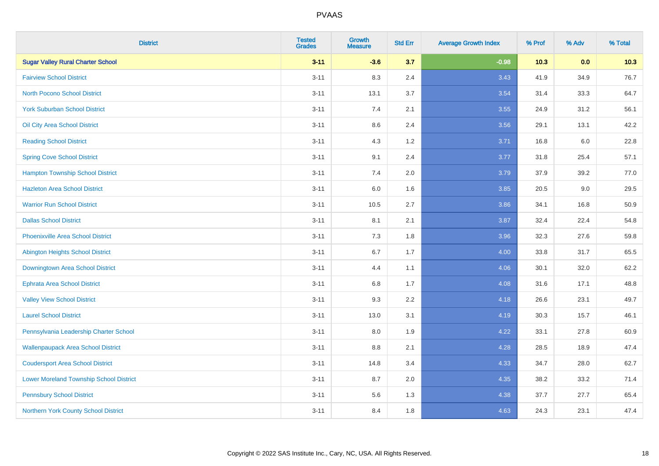| <b>District</b>                                | <b>Tested</b><br><b>Grades</b> | <b>Growth</b><br><b>Measure</b> | <b>Std Err</b> | <b>Average Growth Index</b> | % Prof | % Adv | % Total |
|------------------------------------------------|--------------------------------|---------------------------------|----------------|-----------------------------|--------|-------|---------|
| <b>Sugar Valley Rural Charter School</b>       | $3 - 11$                       | $-3.6$                          | 3.7            | $-0.98$                     | 10.3   | 0.0   | 10.3    |
| <b>Fairview School District</b>                | $3 - 11$                       | 8.3                             | 2.4            | 3.43                        | 41.9   | 34.9  | 76.7    |
| <b>North Pocono School District</b>            | $3 - 11$                       | 13.1                            | 3.7            | 3.54                        | 31.4   | 33.3  | 64.7    |
| <b>York Suburban School District</b>           | $3 - 11$                       | 7.4                             | 2.1            | 3.55                        | 24.9   | 31.2  | 56.1    |
| Oil City Area School District                  | $3 - 11$                       | 8.6                             | 2.4            | 3.56                        | 29.1   | 13.1  | 42.2    |
| <b>Reading School District</b>                 | $3 - 11$                       | 4.3                             | 1.2            | 3.71                        | 16.8   | 6.0   | 22.8    |
| <b>Spring Cove School District</b>             | $3 - 11$                       | 9.1                             | 2.4            | 3.77                        | 31.8   | 25.4  | 57.1    |
| <b>Hampton Township School District</b>        | $3 - 11$                       | 7.4                             | 2.0            | 3.79                        | 37.9   | 39.2  | 77.0    |
| <b>Hazleton Area School District</b>           | $3 - 11$                       | 6.0                             | 1.6            | 3.85                        | 20.5   | 9.0   | 29.5    |
| <b>Warrior Run School District</b>             | $3 - 11$                       | 10.5                            | 2.7            | 3.86                        | 34.1   | 16.8  | 50.9    |
| <b>Dallas School District</b>                  | $3 - 11$                       | 8.1                             | 2.1            | 3.87                        | 32.4   | 22.4  | 54.8    |
| <b>Phoenixville Area School District</b>       | $3 - 11$                       | 7.3                             | 1.8            | 3.96                        | 32.3   | 27.6  | 59.8    |
| <b>Abington Heights School District</b>        | $3 - 11$                       | $6.7\,$                         | 1.7            | 4.00                        | 33.8   | 31.7  | 65.5    |
| Downingtown Area School District               | $3 - 11$                       | 4.4                             | 1.1            | 4.06                        | 30.1   | 32.0  | 62.2    |
| <b>Ephrata Area School District</b>            | $3 - 11$                       | 6.8                             | 1.7            | 4.08                        | 31.6   | 17.1  | 48.8    |
| <b>Valley View School District</b>             | $3 - 11$                       | 9.3                             | 2.2            | 4.18                        | 26.6   | 23.1  | 49.7    |
| <b>Laurel School District</b>                  | $3 - 11$                       | 13.0                            | 3.1            | 4.19                        | 30.3   | 15.7  | 46.1    |
| Pennsylvania Leadership Charter School         | $3 - 11$                       | 8.0                             | 1.9            | 4.22                        | 33.1   | 27.8  | 60.9    |
| <b>Wallenpaupack Area School District</b>      | $3 - 11$                       | $8.8\,$                         | 2.1            | 4.28                        | 28.5   | 18.9  | 47.4    |
| <b>Coudersport Area School District</b>        | $3 - 11$                       | 14.8                            | 3.4            | 4.33                        | 34.7   | 28.0  | 62.7    |
| <b>Lower Moreland Township School District</b> | $3 - 11$                       | 8.7                             | 2.0            | 4.35                        | 38.2   | 33.2  | 71.4    |
| <b>Pennsbury School District</b>               | $3 - 11$                       | 5.6                             | 1.3            | 4.38                        | 37.7   | 27.7  | 65.4    |
| Northern York County School District           | $3 - 11$                       | 8.4                             | 1.8            | 4.63                        | 24.3   | 23.1  | 47.4    |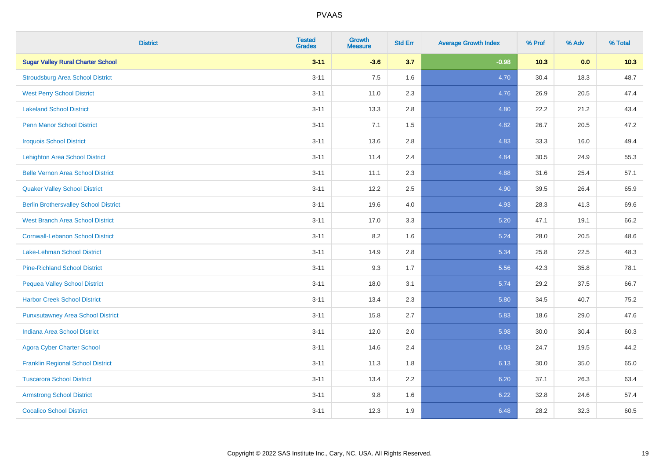| <b>District</b>                              | <b>Tested</b><br><b>Grades</b> | <b>Growth</b><br><b>Measure</b> | <b>Std Err</b> | <b>Average Growth Index</b> | % Prof | % Adv | % Total |
|----------------------------------------------|--------------------------------|---------------------------------|----------------|-----------------------------|--------|-------|---------|
| <b>Sugar Valley Rural Charter School</b>     | $3 - 11$                       | $-3.6$                          | 3.7            | $-0.98$                     | $10.3$ | 0.0   | 10.3    |
| <b>Stroudsburg Area School District</b>      | $3 - 11$                       | 7.5                             | 1.6            | 4.70                        | 30.4   | 18.3  | 48.7    |
| <b>West Perry School District</b>            | $3 - 11$                       | 11.0                            | 2.3            | 4.76                        | 26.9   | 20.5  | 47.4    |
| <b>Lakeland School District</b>              | $3 - 11$                       | 13.3                            | 2.8            | 4.80                        | 22.2   | 21.2  | 43.4    |
| <b>Penn Manor School District</b>            | $3 - 11$                       | 7.1                             | 1.5            | 4.82                        | 26.7   | 20.5  | 47.2    |
| <b>Iroquois School District</b>              | $3 - 11$                       | 13.6                            | 2.8            | 4.83                        | 33.3   | 16.0  | 49.4    |
| <b>Lehighton Area School District</b>        | $3 - 11$                       | 11.4                            | 2.4            | 4.84                        | 30.5   | 24.9  | 55.3    |
| <b>Belle Vernon Area School District</b>     | $3 - 11$                       | 11.1                            | 2.3            | 4.88                        | 31.6   | 25.4  | 57.1    |
| <b>Quaker Valley School District</b>         | $3 - 11$                       | 12.2                            | 2.5            | 4.90                        | 39.5   | 26.4  | 65.9    |
| <b>Berlin Brothersvalley School District</b> | $3 - 11$                       | 19.6                            | 4.0            | 4.93                        | 28.3   | 41.3  | 69.6    |
| <b>West Branch Area School District</b>      | $3 - 11$                       | 17.0                            | 3.3            | 5.20                        | 47.1   | 19.1  | 66.2    |
| <b>Cornwall-Lebanon School District</b>      | $3 - 11$                       | 8.2                             | 1.6            | 5.24                        | 28.0   | 20.5  | 48.6    |
| Lake-Lehman School District                  | $3 - 11$                       | 14.9                            | 2.8            | 5.34                        | 25.8   | 22.5  | 48.3    |
| <b>Pine-Richland School District</b>         | $3 - 11$                       | 9.3                             | 1.7            | 5.56                        | 42.3   | 35.8  | 78.1    |
| <b>Pequea Valley School District</b>         | $3 - 11$                       | 18.0                            | 3.1            | 5.74                        | 29.2   | 37.5  | 66.7    |
| <b>Harbor Creek School District</b>          | $3 - 11$                       | 13.4                            | 2.3            | 5.80                        | 34.5   | 40.7  | 75.2    |
| <b>Punxsutawney Area School District</b>     | $3 - 11$                       | 15.8                            | 2.7            | 5.83                        | 18.6   | 29.0  | 47.6    |
| Indiana Area School District                 | $3 - 11$                       | 12.0                            | 2.0            | 5.98                        | 30.0   | 30.4  | 60.3    |
| <b>Agora Cyber Charter School</b>            | $3 - 11$                       | 14.6                            | 2.4            | 6.03                        | 24.7   | 19.5  | 44.2    |
| <b>Franklin Regional School District</b>     | $3 - 11$                       | 11.3                            | 1.8            | 6.13                        | 30.0   | 35.0  | 65.0    |
| <b>Tuscarora School District</b>             | $3 - 11$                       | 13.4                            | 2.2            | 6.20                        | 37.1   | 26.3  | 63.4    |
| <b>Armstrong School District</b>             | $3 - 11$                       | 9.8                             | 1.6            | 6.22                        | 32.8   | 24.6  | 57.4    |
| <b>Cocalico School District</b>              | $3 - 11$                       | 12.3                            | 1.9            | 6.48                        | 28.2   | 32.3  | 60.5    |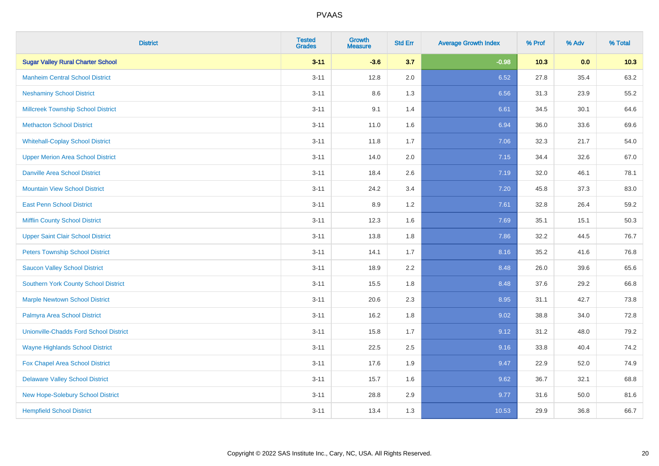| <b>District</b>                               | <b>Tested</b><br><b>Grades</b> | Growth<br><b>Measure</b> | <b>Std Err</b> | <b>Average Growth Index</b> | % Prof | % Adv | % Total |
|-----------------------------------------------|--------------------------------|--------------------------|----------------|-----------------------------|--------|-------|---------|
| <b>Sugar Valley Rural Charter School</b>      | $3 - 11$                       | $-3.6$                   | 3.7            | $-0.98$                     | 10.3   | 0.0   | 10.3    |
| <b>Manheim Central School District</b>        | $3 - 11$                       | 12.8                     | 2.0            | 6.52                        | 27.8   | 35.4  | 63.2    |
| <b>Neshaminy School District</b>              | $3 - 11$                       | 8.6                      | 1.3            | 6.56                        | 31.3   | 23.9  | 55.2    |
| <b>Millcreek Township School District</b>     | $3 - 11$                       | 9.1                      | 1.4            | 6.61                        | 34.5   | 30.1  | 64.6    |
| <b>Methacton School District</b>              | $3 - 11$                       | 11.0                     | 1.6            | 6.94                        | 36.0   | 33.6  | 69.6    |
| <b>Whitehall-Coplay School District</b>       | $3 - 11$                       | 11.8                     | 1.7            | 7.06                        | 32.3   | 21.7  | 54.0    |
| <b>Upper Merion Area School District</b>      | $3 - 11$                       | 14.0                     | 2.0            | 7.15                        | 34.4   | 32.6  | 67.0    |
| <b>Danville Area School District</b>          | $3 - 11$                       | 18.4                     | 2.6            | 7.19                        | 32.0   | 46.1  | 78.1    |
| <b>Mountain View School District</b>          | $3 - 11$                       | 24.2                     | 3.4            | 7.20                        | 45.8   | 37.3  | 83.0    |
| <b>East Penn School District</b>              | $3 - 11$                       | 8.9                      | $1.2$          | 7.61                        | 32.8   | 26.4  | 59.2    |
| <b>Mifflin County School District</b>         | $3 - 11$                       | 12.3                     | 1.6            | 7.69                        | 35.1   | 15.1  | 50.3    |
| <b>Upper Saint Clair School District</b>      | $3 - 11$                       | 13.8                     | 1.8            | 7.86                        | 32.2   | 44.5  | 76.7    |
| <b>Peters Township School District</b>        | $3 - 11$                       | 14.1                     | 1.7            | 8.16                        | 35.2   | 41.6  | 76.8    |
| <b>Saucon Valley School District</b>          | $3 - 11$                       | 18.9                     | 2.2            | 8.48                        | 26.0   | 39.6  | 65.6    |
| <b>Southern York County School District</b>   | $3 - 11$                       | 15.5                     | 1.8            | 8.48                        | 37.6   | 29.2  | 66.8    |
| <b>Marple Newtown School District</b>         | $3 - 11$                       | 20.6                     | 2.3            | 8.95                        | 31.1   | 42.7  | 73.8    |
| Palmyra Area School District                  | $3 - 11$                       | 16.2                     | 1.8            | 9.02                        | 38.8   | 34.0  | 72.8    |
| <b>Unionville-Chadds Ford School District</b> | $3 - 11$                       | 15.8                     | 1.7            | 9.12                        | 31.2   | 48.0  | 79.2    |
| <b>Wayne Highlands School District</b>        | $3 - 11$                       | 22.5                     | 2.5            | 9.16                        | 33.8   | 40.4  | 74.2    |
| Fox Chapel Area School District               | $3 - 11$                       | 17.6                     | 1.9            | 9.47                        | 22.9   | 52.0  | 74.9    |
| <b>Delaware Valley School District</b>        | $3 - 11$                       | 15.7                     | 1.6            | 9.62                        | 36.7   | 32.1  | 68.8    |
| New Hope-Solebury School District             | $3 - 11$                       | 28.8                     | 2.9            | 9.77                        | 31.6   | 50.0  | 81.6    |
| <b>Hempfield School District</b>              | $3 - 11$                       | 13.4                     | 1.3            | 10.53                       | 29.9   | 36.8  | 66.7    |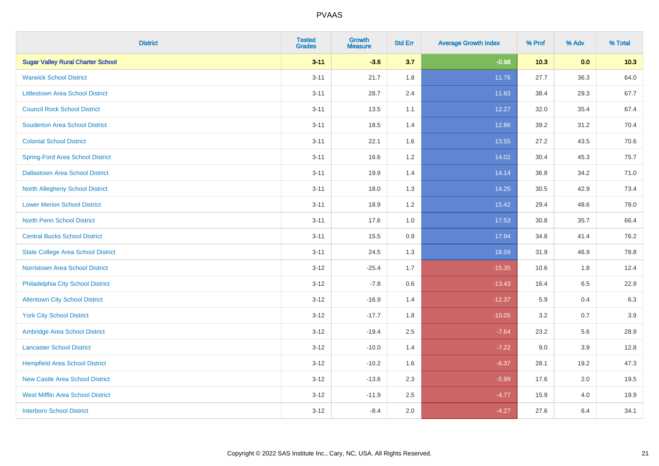| <b>District</b>                           | <b>Tested</b><br><b>Grades</b> | <b>Growth</b><br><b>Measure</b> | <b>Std Err</b> | <b>Average Growth Index</b> | % Prof | % Adv | % Total |
|-------------------------------------------|--------------------------------|---------------------------------|----------------|-----------------------------|--------|-------|---------|
| <b>Sugar Valley Rural Charter School</b>  | $3 - 11$                       | $-3.6$                          | 3.7            | $-0.98$                     | 10.3   | 0.0   | 10.3    |
| <b>Warwick School District</b>            | $3 - 11$                       | 21.7                            | 1.8            | 11.76                       | 27.7   | 36.3  | 64.0    |
| <b>Littlestown Area School District</b>   | $3 - 11$                       | 28.7                            | 2.4            | 11.83                       | 38.4   | 29.3  | 67.7    |
| <b>Council Rock School District</b>       | $3 - 11$                       | 13.5                            | 1.1            | 12.27                       | 32.0   | 35.4  | 67.4    |
| <b>Souderton Area School District</b>     | $3 - 11$                       | 18.5                            | 1.4            | 12.86                       | 39.2   | 31.2  | 70.4    |
| <b>Colonial School District</b>           | $3 - 11$                       | 22.1                            | 1.6            | 13.55                       | 27.2   | 43.5  | 70.6    |
| <b>Spring-Ford Area School District</b>   | $3 - 11$                       | 16.6                            | 1.2            | 14.02                       | 30.4   | 45.3  | 75.7    |
| <b>Dallastown Area School District</b>    | $3 - 11$                       | 19.9                            | 1.4            | 14.14                       | 36.8   | 34.2  | 71.0    |
| <b>North Allegheny School District</b>    | $3 - 11$                       | 18.0                            | 1.3            | 14.25                       | 30.5   | 42.9  | 73.4    |
| <b>Lower Merion School District</b>       | $3 - 11$                       | 18.9                            | 1.2            | 15.42                       | 29.4   | 48.6  | 78.0    |
| <b>North Penn School District</b>         | $3 - 11$                       | 17.6                            | 1.0            | 17.53                       | 30.8   | 35.7  | 66.4    |
| <b>Central Bucks School District</b>      | $3 - 11$                       | 15.5                            | $0.9\,$        | 17.94                       | 34.8   | 41.4  | 76.2    |
| <b>State College Area School District</b> | $3 - 11$                       | 24.5                            | 1.3            | 18.59                       | 31.9   | 46.9  | 78.8    |
| <b>Norristown Area School District</b>    | $3 - 12$                       | $-25.4$                         | 1.7            | $-15.35$                    | 10.6   | 1.8   | 12.4    |
| Philadelphia City School District         | $3 - 12$                       | $-7.8$                          | 0.6            | $-13.43$                    | 16.4   | 6.5   | 22.9    |
| <b>Allentown City School District</b>     | $3 - 12$                       | $-16.9$                         | 1.4            | $-12.37$                    | 5.9    | 0.4   | 6.3     |
| <b>York City School District</b>          | $3 - 12$                       | $-17.7$                         | 1.8            | $-10.05$                    | 3.2    | 0.7   | 3.9     |
| Ambridge Area School District             | $3 - 12$                       | $-19.4$                         | 2.5            | $-7.64$                     | 23.2   | 5.6   | 28.9    |
| <b>Lancaster School District</b>          | $3 - 12$                       | $-10.0$                         | 1.4            | $-7.22$                     | 9.0    | 3.9   | 12.8    |
| <b>Hempfield Area School District</b>     | $3 - 12$                       | $-10.2$                         | 1.6            | $-6.37$                     | 28.1   | 19.2  | 47.3    |
| <b>New Castle Area School District</b>    | $3 - 12$                       | $-13.6$                         | 2.3            | $-5.99$                     | 17.6   | 2.0   | 19.5    |
| <b>West Mifflin Area School District</b>  | $3 - 12$                       | $-11.9$                         | 2.5            | $-4.77$                     | 15.9   | 4.0   | 19.9    |
| <b>Interboro School District</b>          | $3 - 12$                       | $-8.4$                          | 2.0            | $-4.27$                     | 27.6   | 6.4   | 34.1    |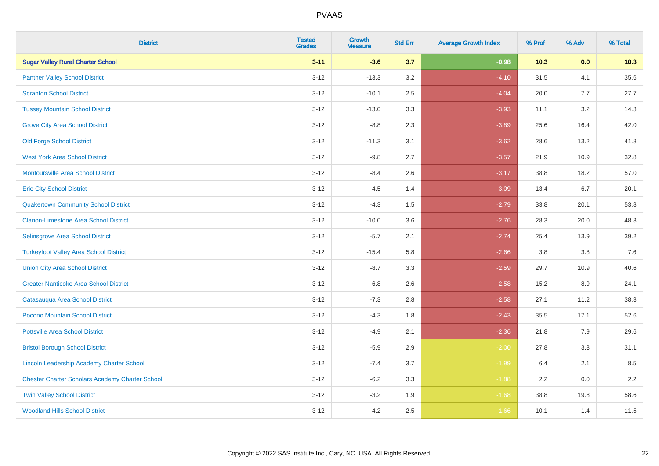| <b>District</b>                                        | <b>Tested</b><br><b>Grades</b> | <b>Growth</b><br><b>Measure</b> | <b>Std Err</b> | <b>Average Growth Index</b> | % Prof | % Adv   | % Total |
|--------------------------------------------------------|--------------------------------|---------------------------------|----------------|-----------------------------|--------|---------|---------|
| <b>Sugar Valley Rural Charter School</b>               | $3 - 11$                       | $-3.6$                          | 3.7            | $-0.98$                     | 10.3   | 0.0     | 10.3    |
| <b>Panther Valley School District</b>                  | $3 - 12$                       | $-13.3$                         | 3.2            | $-4.10$                     | 31.5   | 4.1     | 35.6    |
| <b>Scranton School District</b>                        | $3 - 12$                       | $-10.1$                         | 2.5            | $-4.04$                     | 20.0   | 7.7     | 27.7    |
| <b>Tussey Mountain School District</b>                 | $3 - 12$                       | $-13.0$                         | 3.3            | $-3.93$                     | 11.1   | 3.2     | 14.3    |
| <b>Grove City Area School District</b>                 | $3 - 12$                       | $-8.8$                          | 2.3            | $-3.89$                     | 25.6   | 16.4    | 42.0    |
| <b>Old Forge School District</b>                       | $3 - 12$                       | $-11.3$                         | 3.1            | $-3.62$                     | 28.6   | 13.2    | 41.8    |
| <b>West York Area School District</b>                  | $3 - 12$                       | $-9.8$                          | 2.7            | $-3.57$                     | 21.9   | 10.9    | 32.8    |
| <b>Montoursville Area School District</b>              | $3 - 12$                       | $-8.4$                          | 2.6            | $-3.17$                     | 38.8   | 18.2    | 57.0    |
| <b>Erie City School District</b>                       | $3 - 12$                       | $-4.5$                          | 1.4            | $-3.09$                     | 13.4   | 6.7     | 20.1    |
| <b>Quakertown Community School District</b>            | $3 - 12$                       | $-4.3$                          | 1.5            | $-2.79$                     | 33.8   | 20.1    | 53.8    |
| <b>Clarion-Limestone Area School District</b>          | $3 - 12$                       | $-10.0$                         | 3.6            | $-2.76$                     | 28.3   | 20.0    | 48.3    |
| Selinsgrove Area School District                       | $3 - 12$                       | $-5.7$                          | 2.1            | $-2.74$                     | 25.4   | 13.9    | 39.2    |
| <b>Turkeyfoot Valley Area School District</b>          | $3 - 12$                       | $-15.4$                         | 5.8            | $-2.66$                     | 3.8    | $3.8\,$ | 7.6     |
| <b>Union City Area School District</b>                 | $3 - 12$                       | $-8.7$                          | 3.3            | $-2.59$                     | 29.7   | 10.9    | 40.6    |
| <b>Greater Nanticoke Area School District</b>          | $3 - 12$                       | $-6.8$                          | 2.6            | $-2.58$                     | 15.2   | 8.9     | 24.1    |
| Catasauqua Area School District                        | $3 - 12$                       | $-7.3$                          | 2.8            | $-2.58$                     | 27.1   | 11.2    | 38.3    |
| Pocono Mountain School District                        | $3 - 12$                       | $-4.3$                          | 1.8            | $-2.43$                     | 35.5   | 17.1    | 52.6    |
| <b>Pottsville Area School District</b>                 | $3 - 12$                       | $-4.9$                          | 2.1            | $-2.36$                     | 21.8   | 7.9     | 29.6    |
| <b>Bristol Borough School District</b>                 | $3 - 12$                       | $-5.9$                          | 2.9            | $-2.00$                     | 27.8   | 3.3     | 31.1    |
| Lincoln Leadership Academy Charter School              | $3 - 12$                       | $-7.4$                          | 3.7            | $-1.99$                     | 6.4    | 2.1     | 8.5     |
| <b>Chester Charter Scholars Academy Charter School</b> | $3 - 12$                       | $-6.2$                          | 3.3            | $-1.88$                     | 2.2    | 0.0     | 2.2     |
| <b>Twin Valley School District</b>                     | $3 - 12$                       | $-3.2$                          | 1.9            | $-1.68$                     | 38.8   | 19.8    | 58.6    |
| <b>Woodland Hills School District</b>                  | $3 - 12$                       | $-4.2$                          | 2.5            | $-1.66$                     | 10.1   | 1.4     | 11.5    |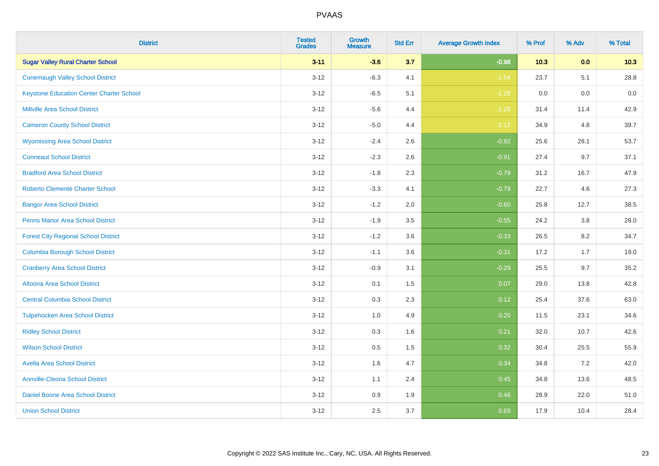| <b>District</b>                                 | <b>Tested</b><br><b>Grades</b> | <b>Growth</b><br><b>Measure</b> | <b>Std Err</b> | <b>Average Growth Index</b> | % Prof | % Adv | % Total |
|-------------------------------------------------|--------------------------------|---------------------------------|----------------|-----------------------------|--------|-------|---------|
| <b>Sugar Valley Rural Charter School</b>        | $3 - 11$                       | $-3.6$                          | 3.7            | $-0.98$                     | 10.3   | 0.0   | 10.3    |
| <b>Conemaugh Valley School District</b>         | $3 - 12$                       | $-6.3$                          | 4.1            | $-1.54$                     | 23.7   | 5.1   | 28.8    |
| <b>Keystone Education Center Charter School</b> | $3 - 12$                       | $-6.5$                          | 5.1            | $-1.28$                     | 0.0    | 0.0   | 0.0     |
| <b>Millville Area School District</b>           | $3 - 12$                       | $-5.6$                          | 4.4            | $-1.26$                     | 31.4   | 11.4  | 42.9    |
| <b>Cameron County School District</b>           | $3-12$                         | $-5.0$                          | 4.4            | $-1.12$                     | 34.9   | 4.8   | 39.7    |
| <b>Wyomissing Area School District</b>          | $3 - 12$                       | $-2.4$                          | 2.6            | $-0.92$                     | 25.6   | 28.1  | 53.7    |
| <b>Conneaut School District</b>                 | $3 - 12$                       | $-2.3$                          | 2.6            | $-0.91$                     | 27.4   | 9.7   | 37.1    |
| <b>Bradford Area School District</b>            | $3 - 12$                       | $-1.8$                          | 2.3            | $-0.79$                     | 31.2   | 16.7  | 47.9    |
| <b>Roberto Clemente Charter School</b>          | $3 - 12$                       | $-3.3$                          | 4.1            | $-0.79$                     | 22.7   | 4.6   | 27.3    |
| <b>Bangor Area School District</b>              | $3 - 12$                       | $-1.2$                          | 2.0            | $-0.60$                     | 25.8   | 12.7  | 38.5    |
| <b>Penns Manor Area School District</b>         | $3 - 12$                       | $-1.9$                          | 3.5            | $-0.55$                     | 24.2   | 3.8   | 28.0    |
| <b>Forest City Regional School District</b>     | $3 - 12$                       | $-1.2$                          | 3.6            | $-0.33$                     | 26.5   | 8.2   | 34.7    |
| <b>Columbia Borough School District</b>         | $3 - 12$                       | $-1.1$                          | 3.6            | $-0.31$                     | 17.2   | 1.7   | 19.0    |
| <b>Cranberry Area School District</b>           | $3 - 12$                       | $-0.9$                          | 3.1            | $-0.29$                     | 25.5   | 9.7   | 35.2    |
| Altoona Area School District                    | $3 - 12$                       | 0.1                             | 1.5            | 0.07                        | 29.0   | 13.8  | 42.8    |
| <b>Central Columbia School District</b>         | $3 - 12$                       | 0.3                             | 2.3            | 0.12                        | 25.4   | 37.6  | 63.0    |
| <b>Tulpehocken Area School District</b>         | $3 - 12$                       | 1.0                             | 4.9            | 0.20                        | 11.5   | 23.1  | 34.6    |
| <b>Ridley School District</b>                   | $3 - 12$                       | 0.3                             | 1.6            | 0.21                        | 32.0   | 10.7  | 42.6    |
| <b>Wilson School District</b>                   | $3 - 12$                       | $0.5\,$                         | 1.5            | 0.32                        | 30.4   | 25.5  | 55.9    |
| <b>Avella Area School District</b>              | $3-12$                         | 1.6                             | 4.7            | 0.34                        | 34.8   | 7.2   | 42.0    |
| <b>Annville-Cleona School District</b>          | $3 - 12$                       | 1.1                             | 2.4            | 0.45                        | 34.8   | 13.6  | 48.5    |
| Daniel Boone Area School District               | $3 - 12$                       | $0.9\,$                         | 1.9            | 0.46                        | 28.9   | 22.0  | 51.0    |
| <b>Union School District</b>                    | $3-12$                         | 2.5                             | 3.7            | 0.69                        | 17.9   | 10.4  | 28.4    |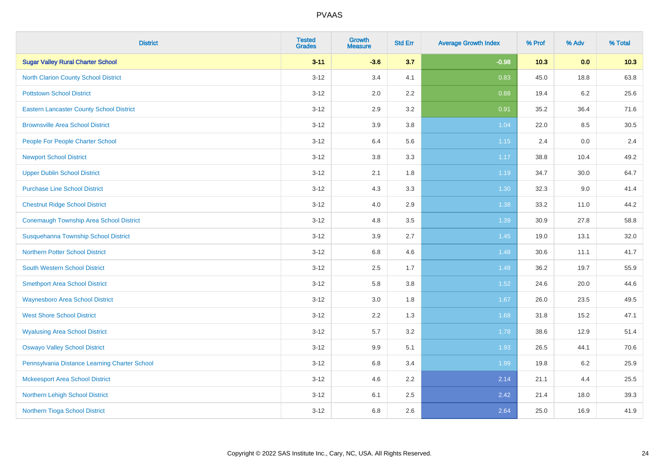| <b>District</b>                                 | <b>Tested</b><br><b>Grades</b> | <b>Growth</b><br><b>Measure</b> | <b>Std Err</b> | <b>Average Growth Index</b> | % Prof | % Adv   | % Total |
|-------------------------------------------------|--------------------------------|---------------------------------|----------------|-----------------------------|--------|---------|---------|
| <b>Sugar Valley Rural Charter School</b>        | $3 - 11$                       | $-3.6$                          | 3.7            | $-0.98$                     | 10.3   | 0.0     | 10.3    |
| <b>North Clarion County School District</b>     | $3 - 12$                       | 3.4                             | 4.1            | 0.83                        | 45.0   | 18.8    | 63.8    |
| <b>Pottstown School District</b>                | $3 - 12$                       | 2.0                             | 2.2            | 0.88                        | 19.4   | $6.2\,$ | 25.6    |
| <b>Eastern Lancaster County School District</b> | $3 - 12$                       | 2.9                             | 3.2            | 0.91                        | 35.2   | 36.4    | 71.6    |
| <b>Brownsville Area School District</b>         | $3 - 12$                       | 3.9                             | 3.8            | 1.04                        | 22.0   | 8.5     | 30.5    |
| People For People Charter School                | $3 - 12$                       | 6.4                             | 5.6            | $1.15$                      | 2.4    | 0.0     | 2.4     |
| <b>Newport School District</b>                  | $3 - 12$                       | 3.8                             | 3.3            | 1.17                        | 38.8   | 10.4    | 49.2    |
| <b>Upper Dublin School District</b>             | $3 - 12$                       | 2.1                             | 1.8            | 1.19                        | 34.7   | 30.0    | 64.7    |
| <b>Purchase Line School District</b>            | $3 - 12$                       | 4.3                             | 3.3            | 1.30                        | 32.3   | 9.0     | 41.4    |
| <b>Chestnut Ridge School District</b>           | $3 - 12$                       | 4.0                             | 2.9            | 1.38                        | 33.2   | 11.0    | 44.2    |
| Conemaugh Township Area School District         | $3 - 12$                       | 4.8                             | 3.5            | 1.39                        | 30.9   | 27.8    | 58.8    |
| Susquehanna Township School District            | $3 - 12$                       | 3.9                             | 2.7            | 1.45                        | 19.0   | 13.1    | 32.0    |
| <b>Northern Potter School District</b>          | $3 - 12$                       | $6.8\,$                         | 4.6            | 1.48                        | 30.6   | 11.1    | 41.7    |
| <b>South Western School District</b>            | $3 - 12$                       | 2.5                             | 1.7            | 1.48                        | 36.2   | 19.7    | 55.9    |
| <b>Smethport Area School District</b>           | $3 - 12$                       | 5.8                             | 3.8            | 1.52                        | 24.6   | 20.0    | 44.6    |
| <b>Waynesboro Area School District</b>          | $3 - 12$                       | 3.0                             | 1.8            | 1.67                        | 26.0   | 23.5    | 49.5    |
| <b>West Shore School District</b>               | $3 - 12$                       | 2.2                             | 1.3            | 1.68                        | 31.8   | 15.2    | 47.1    |
| <b>Wyalusing Area School District</b>           | $3 - 12$                       | 5.7                             | 3.2            | 1.78                        | 38.6   | 12.9    | 51.4    |
| <b>Oswayo Valley School District</b>            | $3 - 12$                       | 9.9                             | 5.1            | 1.93                        | 26.5   | 44.1    | 70.6    |
| Pennsylvania Distance Learning Charter School   | $3 - 12$                       | $6.8\,$                         | 3.4            | 1.99                        | 19.8   | 6.2     | 25.9    |
| <b>Mckeesport Area School District</b>          | $3 - 12$                       | 4.6                             | 2.2            | 2.14                        | 21.1   | 4.4     | 25.5    |
| Northern Lehigh School District                 | $3 - 12$                       | 6.1                             | 2.5            | 2.42                        | 21.4   | 18.0    | 39.3    |
| Northern Tioga School District                  | $3 - 12$                       | 6.8                             | 2.6            | 2.64                        | 25.0   | 16.9    | 41.9    |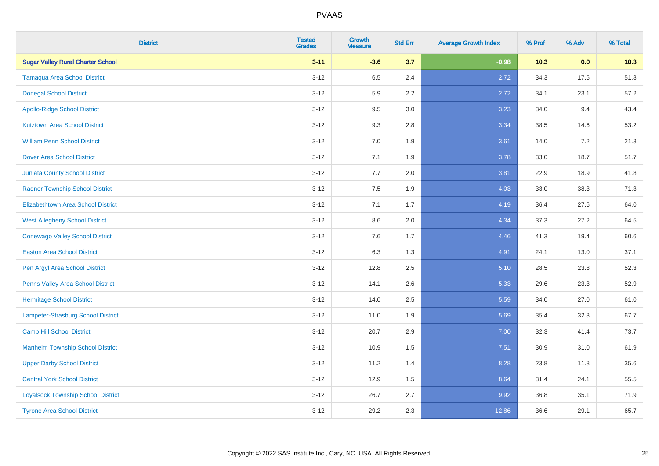| <b>District</b>                           | <b>Tested</b><br><b>Grades</b> | <b>Growth</b><br><b>Measure</b> | <b>Std Err</b> | <b>Average Growth Index</b> | % Prof | % Adv | % Total |
|-------------------------------------------|--------------------------------|---------------------------------|----------------|-----------------------------|--------|-------|---------|
| <b>Sugar Valley Rural Charter School</b>  | $3 - 11$                       | $-3.6$                          | 3.7            | $-0.98$                     | 10.3   | 0.0   | 10.3    |
| <b>Tamaqua Area School District</b>       | $3 - 12$                       | 6.5                             | 2.4            | 2.72                        | 34.3   | 17.5  | 51.8    |
| <b>Donegal School District</b>            | $3 - 12$                       | 5.9                             | 2.2            | 2.72                        | 34.1   | 23.1  | 57.2    |
| <b>Apollo-Ridge School District</b>       | $3 - 12$                       | 9.5                             | 3.0            | 3.23                        | 34.0   | 9.4   | 43.4    |
| <b>Kutztown Area School District</b>      | $3 - 12$                       | 9.3                             | 2.8            | 3.34                        | 38.5   | 14.6  | 53.2    |
| <b>William Penn School District</b>       | $3 - 12$                       | 7.0                             | 1.9            | 3.61                        | 14.0   | 7.2   | 21.3    |
| <b>Dover Area School District</b>         | $3 - 12$                       | 7.1                             | 1.9            | 3.78                        | 33.0   | 18.7  | 51.7    |
| <b>Juniata County School District</b>     | $3 - 12$                       | 7.7                             | 2.0            | 3.81                        | 22.9   | 18.9  | 41.8    |
| <b>Radnor Township School District</b>    | $3 - 12$                       | 7.5                             | 1.9            | 4.03                        | 33.0   | 38.3  | 71.3    |
| <b>Elizabethtown Area School District</b> | $3 - 12$                       | 7.1                             | 1.7            | 4.19                        | 36.4   | 27.6  | 64.0    |
| <b>West Allegheny School District</b>     | $3 - 12$                       | 8.6                             | 2.0            | 4.34                        | 37.3   | 27.2  | 64.5    |
| <b>Conewago Valley School District</b>    | $3 - 12$                       | 7.6                             | 1.7            | 4.46                        | 41.3   | 19.4  | 60.6    |
| <b>Easton Area School District</b>        | $3 - 12$                       | 6.3                             | 1.3            | 4.91                        | 24.1   | 13.0  | 37.1    |
| Pen Argyl Area School District            | $3 - 12$                       | 12.8                            | 2.5            | 5.10                        | 28.5   | 23.8  | 52.3    |
| Penns Valley Area School District         | $3 - 12$                       | 14.1                            | 2.6            | 5.33                        | 29.6   | 23.3  | 52.9    |
| <b>Hermitage School District</b>          | $3 - 12$                       | 14.0                            | 2.5            | 5.59                        | 34.0   | 27.0  | 61.0    |
| Lampeter-Strasburg School District        | $3 - 12$                       | 11.0                            | 1.9            | 5.69                        | 35.4   | 32.3  | 67.7    |
| <b>Camp Hill School District</b>          | $3 - 12$                       | 20.7                            | 2.9            | 7.00                        | 32.3   | 41.4  | 73.7    |
| <b>Manheim Township School District</b>   | $3 - 12$                       | 10.9                            | 1.5            | 7.51                        | 30.9   | 31.0  | 61.9    |
| <b>Upper Darby School District</b>        | $3 - 12$                       | 11.2                            | 1.4            | 8.28                        | 23.8   | 11.8  | 35.6    |
| <b>Central York School District</b>       | $3 - 12$                       | 12.9                            | 1.5            | 8.64                        | 31.4   | 24.1  | 55.5    |
| <b>Loyalsock Township School District</b> | $3 - 12$                       | 26.7                            | 2.7            | 9.92                        | 36.8   | 35.1  | 71.9    |
| <b>Tyrone Area School District</b>        | $3 - 12$                       | 29.2                            | 2.3            | 12.86                       | 36.6   | 29.1  | 65.7    |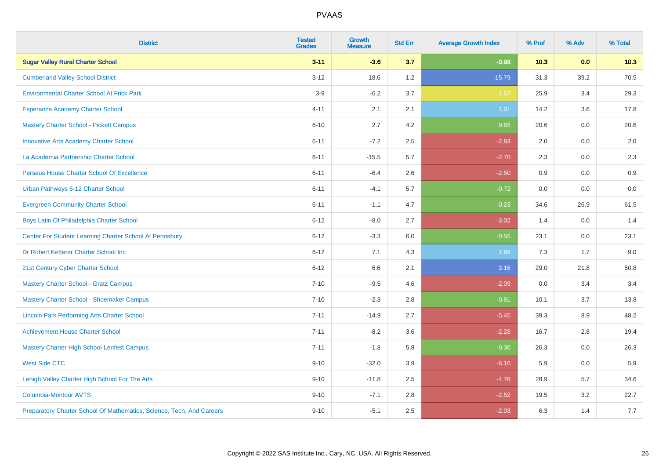| <b>District</b>                                                       | <b>Tested</b><br><b>Grades</b> | <b>Growth</b><br><b>Measure</b> | <b>Std Err</b> | <b>Average Growth Index</b> | % Prof | % Adv | % Total |
|-----------------------------------------------------------------------|--------------------------------|---------------------------------|----------------|-----------------------------|--------|-------|---------|
| <b>Sugar Valley Rural Charter School</b>                              | $3 - 11$                       | $-3.6$                          | 3.7            | $-0.98$                     | 10.3   | 0.0   | 10.3    |
| <b>Cumberland Valley School District</b>                              | $3 - 12$                       | 18.6                            | 1.2            | 15.79                       | 31.3   | 39.2  | 70.5    |
| <b>Environmental Charter School At Frick Park</b>                     | $3-9$                          | $-6.2$                          | 3.7            | $-1.67$                     | 25.9   | 3.4   | 29.3    |
| Esperanza Academy Charter School                                      | $4 - 11$                       | 2.1                             | 2.1            | 1.01                        | 14.2   | 3.6   | 17.8    |
| <b>Mastery Charter School - Pickett Campus</b>                        | $6 - 10$                       | 2.7                             | 4.2            | 0.65                        | 20.6   | 0.0   | 20.6    |
| <b>Innovative Arts Academy Charter School</b>                         | $6 - 11$                       | $-7.2$                          | 2.5            | $-2.83$                     | 2.0    | 0.0   | $2.0\,$ |
| La Academia Partnership Charter School                                | $6 - 11$                       | $-15.5$                         | 5.7            | $-2.70$                     | 2.3    | 0.0   | 2.3     |
| Perseus House Charter School Of Excellence                            | $6 - 11$                       | $-6.4$                          | 2.6            | $-2.50$                     | 0.9    | 0.0   | 0.9     |
| Urban Pathways 6-12 Charter School                                    | $6 - 11$                       | $-4.1$                          | 5.7            | $-0.72$                     | 0.0    | 0.0   | $0.0\,$ |
| <b>Evergreen Community Charter School</b>                             | $6 - 11$                       | $-1.1$                          | 4.7            | $-0.23$                     | 34.6   | 26.9  | 61.5    |
| Boys Latin Of Philadelphia Charter School                             | $6 - 12$                       | $-8.0$                          | 2.7            | $-3.02$                     | 1.4    | 0.0   | 1.4     |
| Center For Student Learning Charter School At Pennsbury               | $6 - 12$                       | $-3.3$                          | 6.0            | $-0.55$                     | 23.1   | 0.0   | 23.1    |
| Dr Robert Ketterer Charter School Inc                                 | $6 - 12$                       | 7.1                             | 4.3            | 1.66                        | 7.3    | 1.7   | 9.0     |
| 21st Century Cyber Charter School                                     | $6 - 12$                       | 6.6                             | 2.1            | 3.16                        | 29.0   | 21.8  | 50.8    |
| <b>Mastery Charter School - Gratz Campus</b>                          | $7 - 10$                       | $-9.5$                          | 4.6            | $-2.09$                     | 0.0    | 3.4   | 3.4     |
| Mastery Charter School - Shoemaker Campus                             | $7 - 10$                       | $-2.3$                          | 2.8            | $-0.81$                     | 10.1   | 3.7   | 13.8    |
| <b>Lincoln Park Performing Arts Charter School</b>                    | $7 - 11$                       | $-14.9$                         | 2.7            | $-5.45$                     | 39.3   | 8.9   | 48.2    |
| <b>Achievement House Charter School</b>                               | $7 - 11$                       | $-8.2$                          | 3.6            | $-2.28$                     | 16.7   | 2.8   | 19.4    |
| <b>Mastery Charter High School-Lenfest Campus</b>                     | $7 - 11$                       | $-1.8$                          | 5.8            | $-0.30$                     | 26.3   | 0.0   | 26.3    |
| <b>West Side CTC</b>                                                  | $9 - 10$                       | $-32.0$                         | 3.9            | $-8.16$                     | 5.9    | 0.0   | 5.9     |
| Lehigh Valley Charter High School For The Arts                        | $9 - 10$                       | $-11.8$                         | 2.5            | $-4.76$                     | 28.9   | 5.7   | 34.6    |
| <b>Columbia-Montour AVTS</b>                                          | $9 - 10$                       | $-7.1$                          | 2.8            | $-2.52$                     | 19.5   | 3.2   | 22.7    |
| Preparatory Charter School Of Mathematics, Science, Tech, And Careers | $9 - 10$                       | $-5.1$                          | 2.5            | $-2.03$                     | 6.3    | 1.4   | 7.7     |